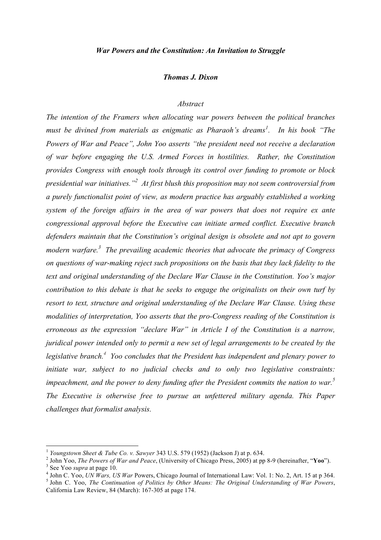#### *Thomas J. Dixon*

## *Abstract*

*The intention of the Framers when allocating war powers between the political branches must be divined from materials as enigmatic as Pharaoh's dreams<sup>1</sup> . In his book "The Powers of War and Peace", John Yoo asserts "the president need not receive a declaration of war before engaging the U.S. Armed Forces in hostilities. Rather, the Constitution provides Congress with enough tools through its control over funding to promote or block presidential war initiatives."<sup>2</sup> At first blush this proposition may not seem controversial from a purely functionalist point of view, as modern practice has arguably established a working system of the foreign affairs in the area of war powers that does not require ex ante congressional approval before the Executive can initiate armed conflict. Executive branch defenders maintain that the Constitution's original design is obsolete and not apt to govern modern warfare.3 The prevailing academic theories that advocate the primacy of Congress on questions of war-making reject such propositions on the basis that they lack fidelity to the text and original understanding of the Declare War Clause in the Constitution. Yoo's major contribution to this debate is that he seeks to engage the originalists on their own turf by resort to text, structure and original understanding of the Declare War Clause. Using these modalities of interpretation, Yoo asserts that the pro-Congress reading of the Constitution is erroneous as the expression "declare War" in Article I of the Constitution is a narrow, juridical power intended only to permit a new set of legal arrangements to be created by the legislative branch. <sup>4</sup> Yoo concludes that the President has independent and plenary power to initiate war, subject to no judicial checks and to only two legislative constraints: impeachment, and the power to deny funding after the President commits the nation to war.<sup>5</sup> The Executive is otherwise free to pursue an unfettered military agenda. This Paper challenges that formalist analysis.* 

<sup>&</sup>lt;sup>1</sup> Youngstown Sheet & Tube Co. v. Sawyer 343 U.S. 579 (1952) (Jackson J) at p. 634.<br><sup>2</sup> John Yoo, *The Powers of War and Peace*, (University of Chicago Press, 2005) at pp 8-9 (hereinafter, "**Yoo**").<br><sup>3</sup> See Yoo *supra* a

California Law Review, 84 (March): 167-305 at page 174.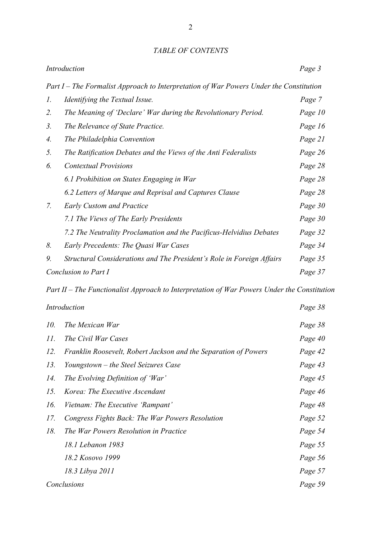| Introduction         |                                                                                        | Page 3  |
|----------------------|----------------------------------------------------------------------------------------|---------|
|                      | Part I – The Formalist Approach to Interpretation of War Powers Under the Constitution |         |
| 1.                   | Identifying the Textual Issue.                                                         | Page 7  |
| 2.                   | The Meaning of 'Declare' War during the Revolutionary Period.                          | Page 10 |
| 3 <sub>1</sub>       | The Relevance of State Practice.                                                       | Page 16 |
| 4.                   | The Philadelphia Convention                                                            | Page 21 |
| 5.                   | The Ratification Debates and the Views of the Anti Federalists                         | Page 26 |
| 6.                   | <b>Contextual Provisions</b>                                                           | Page 28 |
|                      | 6.1 Prohibition on States Engaging in War                                              | Page 28 |
|                      | 6.2 Letters of Marque and Reprisal and Captures Clause                                 | Page 28 |
| 7.                   | <b>Early Custom and Practice</b>                                                       | Page 30 |
|                      | 7.1 The Views of The Early Presidents                                                  | Page 30 |
|                      | 7.2 The Neutrality Proclamation and the Pacificus-Helvidius Debates                    | Page 32 |
| 8.                   | Early Precedents: The Quasi War Cases                                                  | Page 34 |
| 9.                   | Structural Considerations and The President's Role in Foreign Affairs                  | Page 35 |
| Conclusion to Part I |                                                                                        | Page 37 |

*Part II – The Functionalist Approach to Interpretation of War Powers Under the Constitution*

| Introduction |                                                                 | Page 38 |
|--------------|-----------------------------------------------------------------|---------|
| 10.          | The Mexican War                                                 | Page 38 |
| 11.          | The Civil War Cases                                             | Page 40 |
| 12.          | Franklin Roosevelt, Robert Jackson and the Separation of Powers | Page 42 |
| 13.          | Youngstown – the Steel Seizures Case                            | Page 43 |
| 14.          | The Evolving Definition of 'War'                                | Page 45 |
| 15.          | Korea: The Executive Ascendant                                  | Page 46 |
| 16.          | Vietnam: The Executive 'Rampant'                                | Page 48 |
| 17.          | Congress Fights Back: The War Powers Resolution                 | Page 52 |
| 18.          | The War Powers Resolution in Practice                           | Page 54 |
|              | 18.1 Lebanon 1983                                               | Page 55 |
|              | 18.2 Kosovo 1999                                                | Page 56 |
|              | 18.3 Libya 2011                                                 | Page 57 |
| Conclusions  |                                                                 | Page 59 |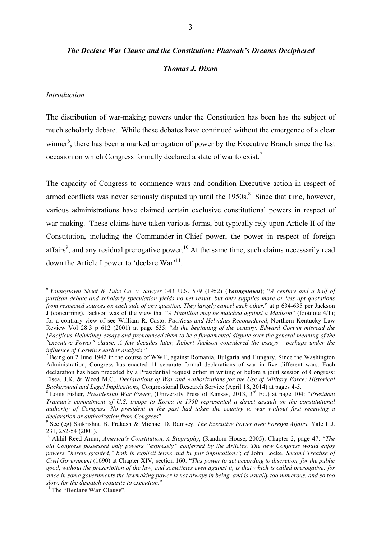# *The Declare War Clause and the Constitution: Pharoah's Dreams Deciphered Thomas J. Dixon*

#### *Introduction*

The distribution of war-making powers under the Constitution has been has the subject of much scholarly debate. While these debates have continued without the emergence of a clear winner<sup>6</sup>, there has been a marked arrogation of power by the Executive Branch since the last occasion on which Congress formally declared a state of war to exist.<sup>7</sup>

The capacity of Congress to commence wars and condition Executive action in respect of armed conflicts was never seriously disputed up until the  $1950s$ .<sup>8</sup> Since that time, however, various administrations have claimed certain exclusive constitutional powers in respect of war-making. These claims have taken various forms, but typically rely upon Article II of the Constitution, including the Commander-in-Chief power, the power in respect of foreign affairs<sup>9</sup>, and any residual prerogative power.<sup>10</sup> At the same time, such claims necessarily read down the Article I power to 'declare War'<sup>11</sup>.

 <sup>6</sup> *Youngstown Sheet & Tube Co. v. Sawyer* 343 U.S. 579 (1952) (*Youngstown*); "*A century and a half of partisan debate and scholarly speculation yields no net result, but only supplies more or less apt quotations from respected sources on each side of any question. They largely cancel each other*." at p 634-635 per Jackson J (concurring). Jackson was of the view that "*A Hamilton may be matched against a Madison*" (footnote 4/1); for a contrary view of see William R. Casto, *Pacificus and Helvidius Reconsidered*, Northern Kentucky Law Review Vol 28:3 p 612 (2001) at page 635: "*At the beginning of the century, Edward Corwin misread the [Pacificus-Helvidius] essays and pronounced them to be a fundamental dispute over the general meaning of the "executive Power" clause. A few decades later, Robert Jackson considered the essays - perhaps under the influence of Corwin's earlier analysis.*"<br><sup>7</sup> Being on 2 June 1942 in the course of WWII, against Romania, Bulgaria and Hungary. Since the Washington

Administration, Congress has enacted 11 separate formal declarations of war in five different wars. Each declaration has been preceded by a Presidential request either in writing or before a joint session of Congress: Elsea, J.K. & Weed M.C., *Declarations of War and Authorizations for the Use of Military Force: Historical Background and Legal Implications, Congressional Research Service (April 18, 2014) at pages 4-5.*<br><sup>8</sup> Louis Fisher, *Presidential War Power*, (University Press of Kansas, 2013, 3<sup>rd</sup> Ed.) at page 104: "*President* 

*Truman's commitment of U.S. troops to Korea in 1950 represented a direct assault on the constitutional authority of Congress. No president in the past had taken the country to war without first receiving a* 

*declaration or authorization from Congress"*.<br><sup>9</sup> See (eg) Saikrishna B. Prakash & Michael D. Ramsey, *The Executive Power over Foreign Affairs*, Yale L.J.<br>231, 252-54 (2001).

<sup>&</sup>lt;sup>10</sup> Akhil Reed Amar, *America's Constitution, A Biography*, (Random House, 2005), Chapter 2, page 47: "The *old Congress possessed only powers "expressly" conferred by the Articles. The new Congress would enjoy powers "herein granted," both in explicit terms and by fair implication*."; *cf* John Locke, *Second Treatise of Civil Government* (1690) at Chapter XIV, section 160: "*This power to act according to discretion, for the public good, without the prescription of the law, and sometimes even against it, is that which is called prerogative: for since in some governments the lawmaking power is not always in being, and is usually too numerous, and so too slow, for the dispatch requisite to execution.*" <sup>11</sup> The "**Declare War Clause**".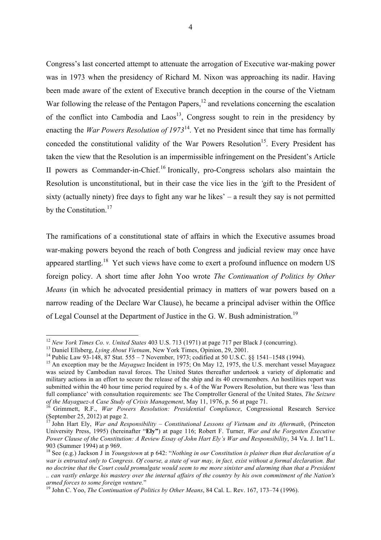Congress's last concerted attempt to attenuate the arrogation of Executive war-making power was in 1973 when the presidency of Richard M. Nixon was approaching its nadir. Having been made aware of the extent of Executive branch deception in the course of the Vietnam War following the release of the Pentagon Papers,<sup>12</sup> and revelations concerning the escalation of the conflict into Cambodia and  $Laos<sup>13</sup>$ , Congress sought to rein in the presidency by enacting the *War Powers Resolution of 1973*14. Yet no President since that time has formally conceded the constitutional validity of the War Powers Resolution<sup>15</sup>. Every President has taken the view that the Resolution is an impermissible infringement on the President's Article II powers as Commander-in-Chief.<sup>16</sup> Ironically, pro-Congress scholars also maintain the Resolution is unconstitutional, but in their case the vice lies in the *'*gift to the President of sixty (actually ninety) free days to fight any war he likes' – a result they say is not permitted by the Constitution.<sup>17</sup>

The ramifications of a constitutional state of affairs in which the Executive assumes broad war-making powers beyond the reach of both Congress and judicial review may once have appeared startling.18 Yet such views have come to exert a profound influence on modern US foreign policy. A short time after John Yoo wrote *The Continuation of Politics by Other Means* (in which he advocated presidential primacy in matters of war powers based on a narrow reading of the Declare War Clause), he became a principal adviser within the Office of Legal Counsel at the Department of Justice in the G. W. Bush administration.<sup>19</sup>

<sup>&</sup>lt;sup>12</sup> New York Times Co. v. United States 403 U.S. 713 (1971) at page 717 per Black J (concurring).<br><sup>13</sup> Daniel Ellsberg, *Lying About Vietnam*, New York Times, Opinion, 29, 2001.<br><sup>14</sup> Public Law 93-148, 87 Stat. 555 – 7 N was seized by Cambodian naval forces. The United States thereafter undertook a variety of diplomatic and military actions in an effort to secure the release of the ship and its 40 crewmembers. An hostilities report was submitted within the 40 hour time period required by s. 4 of the War Powers Resolution, but there was 'less than full compliance' with consultation requirements: see The Comptroller General of the United States*, The Seizure of the Mayaguez-A Case Study of Crisis Management*, May 11, 1976, p. 56 at page 71.<br><sup>16</sup> Grimmett, R.F., *War Powers Resolution: Presidential Compliance*, Congressional Research Service

<sup>(</sup>September 25, 2012) at page 2.

<sup>17</sup> John Hart Ely, *War and Responsibility – Constitutional Lessons of Vietnam and its Aftermath*, (Princeton University Press, 1995) (hereinafter "**Ely"**) at page 116; Robert F. Turner, *War and the Forgotten Executive Power Clause of the Constitution: A Review Essay of John Hart Ely's War and Responsibility*, 34 Va. J. Int'l L. 903 (Summer 1994) at p 969.

<sup>18</sup> See (e.g.) Jackson J in *Youngstown* at p 642: "*Nothing in our Constitution is plainer than that declaration of a war is entrusted only to Congress. Of course, a state of war may, in fact, exist without a formal declaration. But no doctrine that the Court could promulgate would seem to me more sinister and alarming than that a President .. can vastly enlarge his mastery over the internal affairs of the country by his own commitment of the Nation's armed forces to some foreign venture.*" <sup>19</sup> John C. Yoo, *The Continuation of Politics by Other Means*, 84 Cal. L. Rev. 167, 173–74 (1996).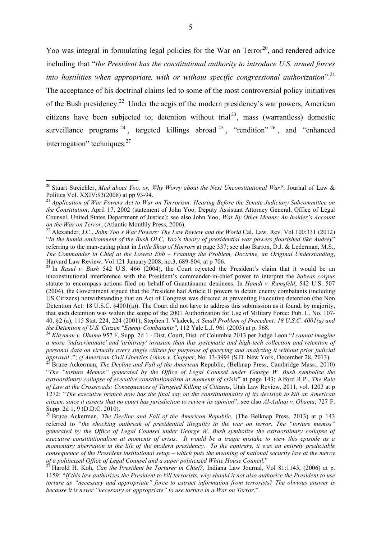Yoo was integral in formulating legal policies for the War on  $Terror<sup>20</sup>$ , and rendered advice including that "*the President has the constitutional authority to introduce U.S. armed forces into hostilities when appropriate, with or without specific congressional authorization*<sup>".21</sup> The acceptance of his doctrinal claims led to some of the most controversial policy initiatives of the Bush presidency.<sup>22</sup> Under the aegis of the modern presidency's war powers, American citizens have been subjected to; detention without trial<sup>23</sup>, mass (warrantless) domestic surveillance programs  $24$ , targeted killings abroad  $25$ , "rendition"  $26$ , and "enhanced" interrogation" techniques.<sup>27</sup>

"*The "torture Memos" generated by the Office of Legal Counsel under George W. Bush symbolize the extraordinary collapse of executive constitutionalism at moments of crisis*" at page 143; Alford R.P., *The Rule of Law at the Crossroads: Consequences of Targeted Killing of Citizens*, Utah Law Review, 2011, vol. 1203 at p 1272: "*The executive branch now has the final say on the constitutionality of its decision to kill an American citizen, since it asserts that no court has jurisdiction to review its opinion*"; see also *Al-Aulaqi v. Obama*, 727 F. Supp. 2d 1, 9 (D.D.C. 2010).<br><sup>26</sup> Bruce Ackerman, *The Decline and Fall of the American Republic*, (The Belknap Press, 2013) at p 143

<sup>&</sup>lt;sup>20</sup> Stuart Streichler, *Mad about Yoo, or, Why Worry about the Next Unconstitutional War?*, Journal of Law & Politics Vol. XXIV:93(2008) at pp 93-94.

<sup>&</sup>lt;sup>21</sup> Application of War Powers Act to War on Terrorism: Hearing Before the Senate Judiciary Subcommittee on *the Constitution*, April 17, 2002 (statement of John Yoo. Deputy Assistant Attorney General, Office of Legal Counsel, United States Department of Justice); see also John Yoo, *War By Other Means: An Insider's Account on the War on Terror*, (Atlantic Monthly Press, 2006). 22 Alexander, J.C., *John Yoo's War Powers: The Law Review and the World* Cal. Law. Rev. Vol 100:331 (2012)

<sup>&</sup>quot;*In the humid environment of the Bush OLC, Yoo's theory of presidential war powers flourished like Audrey*" referring to the man-eating plant in *Little Shop of Horrors* at page 337; see also Barron, D.J. & Lederman, M.S., *The Commander in Chief at the Lowest Ebb – Framing the Problem, Doctrine, an Original Understanding*, Harvard Law Review, Vol 121 January 2008, no.3, 689-804, at p 706.<br><sup>23</sup> In *Rasul v. Bush* 542 U.S. 466 (2004), the Court rejected the President's claim that it would be an

unconstitutional interference with the President's commander-in-chief power to interpret the *habeas corpus* statute to encompass actions filed on behalf of Guantánamo detainees. In *Hamdi v. Rumsfeld*, 542 U.S. 507 (2004), the Government argued that the President had Article II powers to detain enemy combatants (including US Citizens) notwithstanding that an Act of Congress was directed at preventing Executive detention (the Non Detention Act: 18 U.S.C. §4001(a)). The Court did not have to address this submission as it found, by majority, that such detention was within the scope of the 2001 Authorization for Use of Military Force: Pub. L. No. 107- 40, §2 (a), 115 Stat. 224, 224 (2001); Stephen I. Vladeck, *A Small Problem of Precedent: 18 U.S.C. 4001(a) and the Detention of U.S. Citizen "Enemy Combatants"*, 112 Yale L.J. 961 (2003) at p. 968. 24 *Klayman v. Obama* 957 F. Supp. 2d 1 - Dist. Court, Dist. of Columbia 2013 per Judge Leon "*I cannot imagine* 

*a more 'indiscriminate' and 'arbitrary' invasion than this systematic and high-tech collection and retention of personal data on virtually every single citizen for purposes of querying and analyzing it without prior judicial*  approval.."; cf American Civil Liberties Union v. Clapper, No. 13-3994 (S.D. New York, December 28, 2013).<br><sup>25</sup> Bruce Ackerman, *The Decline and Fall of the American* Republic, (Belknap Press, Cambridge Mass., 2010)

referred to "*the shocking outbreak of presidential illegality in the war on terror*. *The "torture memos" generated by the Office of Legal Counsel under George W. Bush symbolize the extraordinary collapse of executive constitutionalism at moments of crisis. It would be a tragic mistake to view this episode as a momentary aberration in the life of the modern presidency. To the contrary, it was an entirely predictable consequence of the President institutional setup – which puts the meaning of national security law at the mercy of a politicized Office of Legal Counsel and a super politicized White House Council."*<br><sup>27</sup> Harold H. Koh, *Can the President be Torturer in Chief?*, Indiana Law Journal, Vol 81:1145, (2006) at p.

<sup>1159: &</sup>quot;*If this law authorizes the President to kill terrorists, why should it not also authorize the President to use torture as "necessary and appropriate" force to extract information from terrorists? The obvious answer is because it is never "necessary or appropriate" to use torture in a War on Terror*.".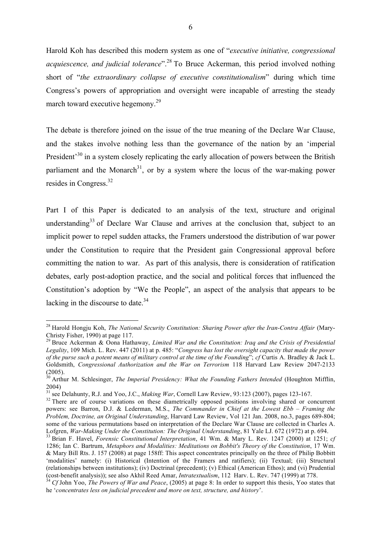Harold Koh has described this modern system as one of "*executive initiative, congressional acquiescence, and judicial tolerance*".<sup>28</sup> To Bruce Ackerman, this period involved nothing short of "*the extraordinary collapse of executive constitutionalism*" during which time Congress's powers of appropriation and oversight were incapable of arresting the steady march toward executive hegemony.<sup>29</sup>

The debate is therefore joined on the issue of the true meaning of the Declare War Clause, and the stakes involve nothing less than the governance of the nation by an 'imperial President<sup>30</sup> in a system closely replicating the early allocation of powers between the British parliament and the Monarch<sup>31</sup>, or by a system where the locus of the war-making power resides in Congress.32

Part I of this Paper is dedicated to an analysis of the text, structure and original understanding<sup>33</sup> of Declare War Clause and arrives at the conclusion that, subject to an implicit power to repel sudden attacks, the Framers understood the distribution of war power under the Constitution to require that the President gain Congressional approval before committing the nation to war. As part of this analysis, there is consideration of ratification debates, early post-adoption practice, and the social and political forces that influenced the Constitution's adoption by "We the People", an aspect of the analysis that appears to be lacking in the discourse to date.<sup>34</sup>

<sup>&</sup>lt;sup>28</sup> Harold Hongiu Koh. *The National Security Constitution: Sharing Power after the Iran-Contra Affair* (Mary-Christy Fisher, 1990) at page 117. <sup>29</sup> Bruce Ackerman & Oona Hathaway, *Limited War and the Constitution: Iraq and the Crisis of Presidential* 

*Legality*, 109 Mich. L. Rev. 447 (2011) at p. 485: "*Congress has lost the oversight capacity that made the power of the purse such a potent means of military control at the time of the Founding*"; *cf* Curtis A. Bradley & Jack L. Goldsmith, *Congressional Authorization and the War on Terrorism* 118 Harvard Law Review 2047-2133 (2005).

<sup>&</sup>lt;sup>30</sup> Arthur M. Schlesinger, *The Imperial Presidency: What the Founding Fathers Intended* (Houghton Mifflin, 2004)

<sup>&</sup>lt;sup>31</sup> see Delahunty, R.J. and Yoo, J.C., *Making War*, Cornell Law Review, 93:123 (2007), pages 123-167.<br><sup>32</sup> There are of course variations on these diametrically opposed positions involving shared or concurrent powers: see Barron, D.J. & Lederman, M.S., *The Commander in Chief at the Lowest Ebb – Framing the Problem, Doctrine, an Original Understanding*, Harvard Law Review, Vol 121 Jan. 2008, no.3, pages 689-804; some of the various permutations based on interpretation of the Declare War Clause are collected in Charles A. Lofgren, *War-Making Under the Constitution: The Original Understanding*, 81 Yale LJ. 672 (1972) at p. 694.

<sup>&</sup>lt;sup>33</sup> Brian F. Havel, *Forensic Constitutional Interpretation*, 41 Wm. & Mary L. Rev. 1247 (2000) at 1251; cf 1286; Ian C. Bartrum, *Metaphors and Modalities: Meditations on Bobbit's Theory of the Constitution*, 17 Wm. & Mary Bill Rts. J. 157 (2008) at page 158ff: This aspect concentrates principally on the three of Philip Bobbitt 'modalities' namely: (i) Historical (Intention of the Framers and ratifiers); (ii) Textual; (iii) Structural (relationships between institutions); (iv) Doctrinal (precedent); (v) Ethical (American Ethos); and (vi) Prudential (cost-benefit analysis)); see also Akhil Reed Amar, *Intratextualism*, 112 Harv. L. Rev. 747 (1999) at 778.<br><sup>34</sup> Cf John Yoo, *The Powers of War and Peace*, (2005) at page 8: In order to support this thesis, Yoo states tha

he '*concentrates less on judicial precedent and more on text, structure, and history*'.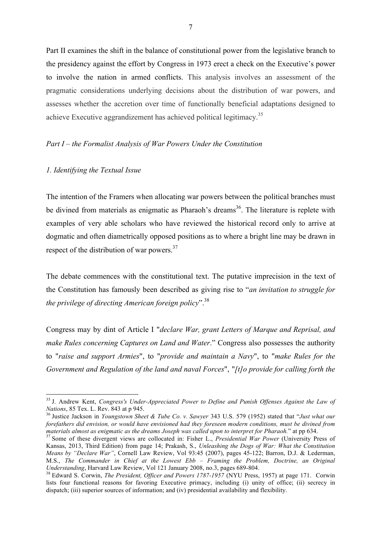Part II examines the shift in the balance of constitutional power from the legislative branch to the presidency against the effort by Congress in 1973 erect a check on the Executive's power to involve the nation in armed conflicts. This analysis involves an assessment of the pragmatic considerations underlying decisions about the distribution of war powers, and assesses whether the accretion over time of functionally beneficial adaptations designed to achieve Executive aggrandizement has achieved political legitimacy.<sup>35</sup>

# *Part I – the Formalist Analysis of War Powers Under the Constitution*

# *1. Identifying the Textual Issue*

The intention of the Framers when allocating war powers between the political branches must be divined from materials as enigmatic as Pharaoh's dreams<sup>36</sup>. The literature is replete with examples of very able scholars who have reviewed the historical record only to arrive at dogmatic and often diametrically opposed positions as to where a bright line may be drawn in respect of the distribution of war powers.<sup>37</sup>

The debate commences with the constitutional text. The putative imprecision in the text of the Constitution has famously been described as giving rise to "*an invitation to struggle for the privilege of directing American foreign policy*".38

Congress may by dint of Article I "*declare War, grant Letters of Marque and Reprisal, and make Rules concerning Captures on Land and Water*." Congress also possesses the authority to "*raise and support Armies*", to "*provide and maintain a Navy*", to "*make Rules for the Government and Regulation of the land and naval Forces*", "*[t]o provide for calling forth the* 

<sup>&</sup>lt;sup>35</sup> J. Andrew Kent, *Congress's Under-Appreciated Power to Define and Punish Offenses Against the Law of Nations, 85 Tex. L. Rev. 843 at p 945.* 

<sup>&</sup>lt;sup>36</sup> Justice Jackson in *Youngstown Sheet & Tube Co. v. Sawyer* 343 U.S. 579 (1952) stated that "*Just what our forefathers did envision, or would have envisioned had they foreseen modern conditions, must be divined from* 

<sup>&</sup>lt;sup>37</sup> Some of these divergent views are collocated in: Fisher L., *Presidential War Power* (University Press of Kansas, 2013, Third Edition) from page 14; Prakash, S., *Unleashing the Dogs of War: What the Constitution Means by "Declare War"*, Cornell Law Review, Vol 93:45 (2007), pages 45-122; Barron, D.J. & Lederman, M.S., *The Commander in Chief at the Lowest Ebb – Framing the Problem, Doctrine, an Original Understanding*, Harvard Law Review, Vol 121 January 2008, no.3, pages 689-804.<br><sup>38</sup> Edward S. Corwin, *The President, Officer and Powers 1787-1957* (NYU Press, 1957) at page 171. Corwin

lists four functional reasons for favoring Executive primacy, including (i) unity of office; (ii) secrecy in dispatch; (iii) superior sources of information; and (iv) presidential availability and flexibility.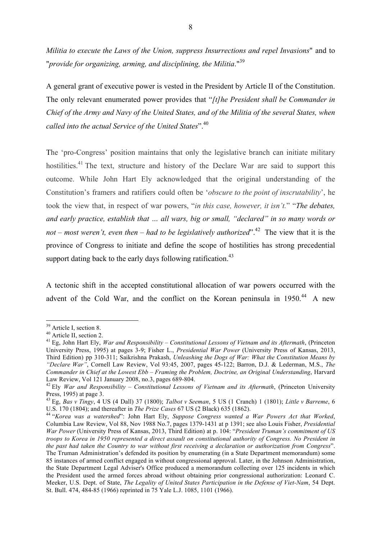*Militia to execute the Laws of the Union, suppress Insurrections and repel Invasions*" and to "*provide for organizing, arming, and disciplining, the Militia*."<sup>39</sup>

A general grant of executive power is vested in the President by Article II of the Constitution. The only relevant enumerated power provides that "*[t]he President shall be Commander in Chief of the Army and Navy of the United States, and of the Militia of the several States, when called into the actual Service of the United States*".40

The 'pro-Congress' position maintains that only the legislative branch can initiate military hostilities.<sup>41</sup> The text, structure and history of the Declare War are said to support this outcome. While John Hart Ely acknowledged that the original understanding of the Constitution's framers and ratifiers could often be '*obscure to the point of inscrutability*', he took the view that, in respect of war powers, "*in this case, however, it isn't.*" "*The debates, and early practice, establish that … all wars, big or small, "declared" in so many words or not – most weren't, even then – had to be legislatively authorized*".42 The view that it is the province of Congress to initiate and define the scope of hostilities has strong precedential support dating back to the early days following ratification.<sup>43</sup>

A tectonic shift in the accepted constitutional allocation of war powers occurred with the advent of the Cold War, and the conflict on the Korean peninsula in  $1950<sup>44</sup>$  A new

<sup>&</sup>lt;sup>39</sup> Article I, section 8.<br><sup>40</sup> Article II, section 2.<br><sup>41</sup> Eg, John Hart Ely, *War and Responsibility – Constitutional Lessons of Vietnam and its Aftermath*, (Princeton University Press, 1995) at pages 3-9; Fisher L., *Presidential War Power* (University Press of Kansas, 2013, Third Edition) pp 310-311; Saikrishna Prakash, *Unleashing the Dogs of War: What the Constitution Means by "Declare War"*, Cornell Law Review, Vol 93:45, 2007, pages 45-122; Barron, D.J. & Lederman, M.S., *The Commander in Chief at the Lowest Ebb – Framing the Problem, Doctrine, an Original Understanding*, Harvard

Law Review, Vol 121 January 2008, no.3, pages 689-804. <sup>42</sup> Ely *War and Responsibility – Constitutional Lessons of Vietnam and its Aftermath*, (Princeton University Press, 1995) at page 3.

<sup>43</sup> Eg, *Bas v Tingy*, 4 US (4 Dall) 37 (1800); *Talbot v Seeman*, 5 US (1 Cranch) 1 (1801); *Little v Barreme*, 6 U.S. 170 (1804); and thereafter in *The Prize Cases* 67 US (2 Black) 635 (1862). <sup>44</sup> "*Korea was a watershed*": John Hart Ely, *Suppose Congress wanted a War Powers Act that Worked*,

Columbia Law Review, Vol 88, Nov 1988 No.7, pages 1379-1431 at p 1391; see also Louis Fisher, *Presidential War Power* (University Press of Kansas, 2013, Third Edition) at p. 104: "*President Truman's commitment of US troops to Korea in 1950 represented a direct assault on constitutional authority of Congress. No President in the past had taken the Country to war without first receiving a declaration or authorization from Congress*". The Truman Administration's defended its position by enumerating (in a State Department memorandum) some 85 instances of armed conflict engaged in without congressional approval. Later, in the Johnson Administration, the State Department Legal Adviser's Office produced a memorandum collecting over 125 incidents in which the President used the armed forces abroad without obtaining prior congressional authorization: Leonard C. Meeker, U.S. Dept. of State, *The Legality of United States Participation in the Defense of Viet-Nam*, 54 Dept. St. Bull. 474, 484-85 (1966) reprinted in 75 Yale L.J. 1085, 1101 (1966).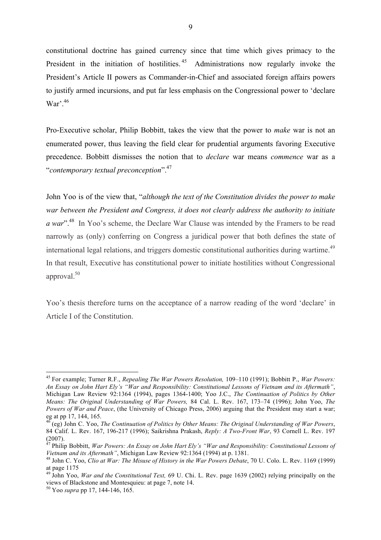constitutional doctrine has gained currency since that time which gives primacy to the President in the initiation of hostilities.<sup>45</sup> Administrations now regularly invoke the President's Article II powers as Commander-in-Chief and associated foreign affairs powers to justify armed incursions, and put far less emphasis on the Congressional power to 'declare War'. 46

Pro-Executive scholar, Philip Bobbitt, takes the view that the power to *make* war is not an enumerated power, thus leaving the field clear for prudential arguments favoring Executive precedence. Bobbitt dismisses the notion that to *declare* war means *commence* war as a "*contemporary textual preconception*".47

John Yoo is of the view that, "*although the text of the Constitution divides the power to make war between the President and Congress, it does not clearly address the authority to initiate a war*".48 In Yoo's scheme, the Declare War Clause was intended by the Framers to be read narrowly as (only) conferring on Congress a juridical power that both defines the state of international legal relations, and triggers domestic constitutional authorities during wartime.<sup>49</sup> In that result, Executive has constitutional power to initiate hostilities without Congressional approval.50

Yoo's thesis therefore turns on the acceptance of a narrow reading of the word 'declare' in Article I of the Constitution.

 <sup>45</sup> For example; Turner R.F., *Repealing The War Powers Resolution,* 109–110 (1991); Bobbitt P., *War Powers: An Essay on John Hart Ely's "War and Responsibility: Constitutional Lessons of Vietnam and its Aftermath"*, Michigan Law Review 92:1364 (1994), pages 1364-1400; Yoo J.C., *The Continuation of Politics by Other Means: The Original Understanding of War Powers,* 84 Cal. L. Rev. 167, 173–74 (1996); John Yoo, *The Powers of War and Peace*, (the University of Chicago Press, 2006) arguing that the President may start a war; eg at pp 17, 144, 165.

<sup>46</sup> (eg) John C. Yoo, *The Continuation of Politics by Other Means: The Original Understanding of War Powers*, 84 Calif. L. Rev. 167, 196-217 (1996); Saikrishna Prakash, *Reply: A Two-Front War*, 93 Cornell L. Rev. 197 (2007).

<sup>&</sup>lt;sup>47</sup> Philip Bobbitt, *War Powers: An Essay on John Hart Ely's "War and Responsibility: Constitutional Lessons of Vietnam and its Aftermath". Michigan Law Review 92:1364 (1994) at p. 1381.* 

<sup>&</sup>lt;sup>48</sup> John C. Yoo, *Clio at War: The Misuse of History in the War Powers Debate*, 70 U. Colo. L. Rev. 1169 (1999) at page 1175

<sup>49</sup> John Yoo, *War and the Constitutional Text,* 69 U. Chi. L. Rev. page 1639 (2002) relying principally on the views of Blackstone and Montesquieu: at page 7, note 14.

<sup>50</sup> Yoo *supra* pp 17, 144-146, 165.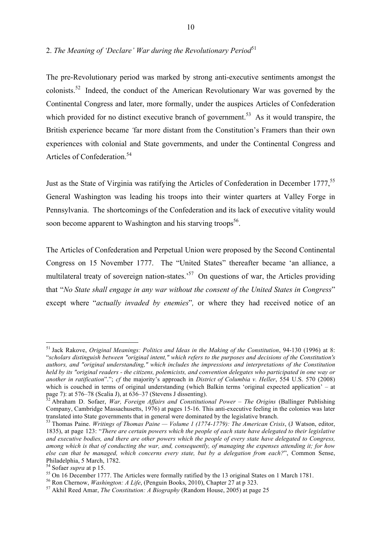# 2. *The Meaning of 'Declare' War during the Revolutionary Period*<sup>51</sup>

The pre-Revolutionary period was marked by strong anti-executive sentiments amongst the colonists.52 Indeed, the conduct of the American Revolutionary War was governed by the Continental Congress and later, more formally, under the auspices Articles of Confederation which provided for no distinct executive branch of government.<sup>53</sup> As it would transpire, the British experience became *'*far more distant from the Constitution's Framers than their own experiences with colonial and State governments, and under the Continental Congress and Articles of Confederation.<sup>54</sup>

Just as the State of Virginia was ratifying the Articles of Confederation in December 1777,<sup>55</sup> General Washington was leading his troops into their winter quarters at Valley Forge in Pennsylvania. The shortcomings of the Confederation and its lack of executive vitality would soon become apparent to Washington and his starving troops<sup>56</sup>.

The Articles of Confederation and Perpetual Union were proposed by the Second Continental Congress on 15 November 1777. The "United States" thereafter became 'an alliance, a multilateral treaty of sovereign nation-states.<sup>57</sup> On questions of war, the Articles providing that "*No State shall engage in any war without the consent of the United States in Congress*" except where "*actually invaded by enemies*"*,* or where they had received notice of an

 <sup>51</sup> Jack Rakove, *Original Meanings: Politics and Ideas in the Making of the Constitution*, 94-130 (1996) at 8: "*scholars distinguish between "original intent," which refers to the purposes and decisions of the Constitution's authors, and "original understanding," which includes the impressions and interpretations of the Constitution held by its "original readers - the citizens, polemicists, and convention delegates who participated in one way or another in ratification*"."; *cf* the majority's approach in *District of Columbia v. Heller*, 554 U.S. 570 (2008) which is couched in terms of original understanding (which Balkin terms 'original expected application' – at page 7): at 576–78 (Scalia J), at 636–37 (Stevens J dissenting). <sup>52</sup> Abraham D. Sofaer, *War, Foreign Affairs and Constitutional Power – The Origins* (Ballinger Publishing

Company, Cambridge Massachusetts, 1976) at pages 15-16. This anti-executive feeling in the colonies was later translated into State governments that in general were dominated by the legislative branch. <sup>53</sup> Thomas Paine. *Writings of Thomas Paine — Volume 1 (1774-1779): The American Crisis*, (J Watson, editor,

<sup>1835),</sup> at page 123: "*There are certain powers which the people of each state have delegated to their legislative and executive bodies, and there are other powers which the people of every state have delegated to Congress, among which is that of conducting the war, and, consequently, of managing the expenses attending it; for how else can that be managed, which concerns every state, but by a delegation from each?*", Common Sense, Philadelphia, 5 March, 1782.<br><sup>54</sup> Sofaer *supra* at p 15.

<sup>&</sup>lt;sup>55</sup> On 16 December 1777. The Articles were formally ratified by the 13 original States on 1 March 1781.<br><sup>56</sup> Ron Chernow, *Washington: A Life*, (Penguin Books, 2010), Chapter 27 at p 323.<br><sup>57</sup> Akhil Reed Amar, *The Const*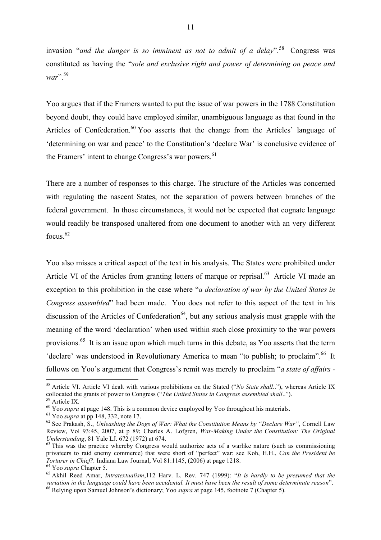invasion "*and the danger is so imminent as not to admit of a delay*".<sup>58</sup> Congress was constituted as having the "*sole and exclusive right and power of determining on peace and war*".<sup>59</sup>

Yoo argues that if the Framers wanted to put the issue of war powers in the 1788 Constitution beyond doubt, they could have employed similar, unambiguous language as that found in the Articles of Confederation.<sup>60</sup> Yoo asserts that the change from the Articles' language of 'determining on war and peace' to the Constitution's 'declare War' is conclusive evidence of the Framers' intent to change Congress's war powers.<sup>61</sup>

There are a number of responses to this charge. The structure of the Articles was concerned with regulating the nascent States, not the separation of powers between branches of the federal government. In those circumstances, it would not be expected that cognate language would readily be transposed unaltered from one document to another with an very different focus. 62

Yoo also misses a critical aspect of the text in his analysis. The States were prohibited under Article VI of the Articles from granting letters of marque or reprisal.<sup>63</sup> Article VI made an exception to this prohibition in the case where "*a declaration of war by the United States in Congress assembled*" had been made. Yoo does not refer to this aspect of the text in his discussion of the Articles of Confederation<sup>64</sup>, but any serious analysis must grapple with the meaning of the word 'declaration' when used within such close proximity to the war powers provisions.<sup>65</sup> It is an issue upon which much turns in this debate, as Yoo asserts that the term 'declare' was understood in Revolutionary America to mean "to publish; to proclaim".<sup>66</sup> It follows on Yoo's argument that Congress's remit was merely to proclaim "*a state of affairs -*

<sup>&</sup>lt;sup>58</sup> Article VI. Article VI dealt with various prohibitions on the Stated ("*No State shall..*"), whereas Article IX collocated the grants of power to Congress ("The United States in Congress assembled shall..").<br><sup>59</sup> Article IX.<br><sup>60</sup> Yoo *supra* at page 148. This is a common device employed by Yoo throughout his materials.<br><sup>61</sup> Yoo *sup* 

Review, Vol 93:45, 2007, at p 89; Charles A. Lofgren, *War-Making Under the Constitution: The Original* 

<sup>&</sup>lt;sup>63</sup> This was the practice whereby Congress would authorize acts of a warlike nature (such as commissioning privateers to raid enemy commerce) that were short of "perfect" war: see Koh, H.H., *Can the President be Torturer in Chief?*, Indiana Law Journal, Vol 81:1145, (2006) at page 1218.

 $^{64}$  Yoo supra Chapter 5.<br><sup>64</sup> Yoo supra Chapter 5.<br><sup>65</sup> Akhil Reed Amar. *Intratextualism*,112 Harv. L. Rev. 747 (1999): "*It is hardly to be presumed that the variation in the language could have been accidental. It must have been the result of some determinate reason*". <sup>66</sup> Relying upon Samuel Johnson's dictionary; Yoo *supra* at page 145, footnote 7 (Chapter 5).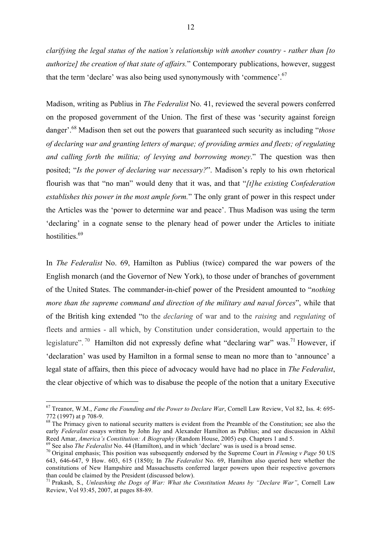*clarifying the legal status of the nation's relationship with another country - rather than [to authorize] the creation of that state of affairs.*" Contemporary publications, however, suggest that the term 'declare' was also being used synonymously with 'commence'.<sup>67</sup>

Madison, writing as Publius in *The Federalist* No. 41, reviewed the several powers conferred on the proposed government of the Union. The first of these was 'security against foreign danger'. <sup>68</sup> Madison then set out the powers that guaranteed such security as including "*those of declaring war and granting letters of marque; of providing armies and fleets; of regulating and calling forth the militia; of levying and borrowing money*." The question was then posited; "*Is the power of declaring war necessary?*". Madison's reply to his own rhetorical flourish was that "no man" would deny that it was, and that "*[t]he existing Confederation establishes this power in the most ample form.*" The only grant of power in this respect under the Articles was the 'power to determine war and peace'. Thus Madison was using the term 'declaring' in a cognate sense to the plenary head of power under the Articles to initiate hostilities.<sup>69</sup>

In *The Federalist* No. 69, Hamilton as Publius (twice) compared the war powers of the English monarch (and the Governor of New York), to those under of branches of government of the United States. The commander-in-chief power of the President amounted to "*nothing more than the supreme command and direction of the military and naval forces*", while that of the British king extended "to the *declaring* of war and to the *raising* and *regulating* of fleets and armies - all which, by Constitution under consideration, would appertain to the legislature".<sup>70</sup> Hamilton did not expressly define what "declaring war" was.<sup>71</sup> However, if 'declaration' was used by Hamilton in a formal sense to mean no more than to 'announce' a legal state of affairs, then this piece of advocacy would have had no place in *The Federalist*, the clear objective of which was to disabuse the people of the notion that a unitary Executive

 <sup>67</sup> Treanor, W.M., *Fame the Founding and the Power to Declare War*, Cornell Law Review, Vol 82, Iss. 4: 695- 772 (1997) at p 708-9. <sup>68</sup> The Primacy given to national security matters is evident from the Preamble of the Constitution; see also the

early *Federalist* essays written by John Jay and Alexander Hamilton as Publius; and see discussion in Akhil Reed Amar, *America's Constitution: A Biography* (Random House, 2005) esp. Chapters 1 and 5.

<sup>&</sup>lt;sup>69</sup> See also *The Federalist* No. 44 (Hamilton), and in which 'declare' was is used is a broad sense.<br><sup>70</sup> Original emphasis; This position was subsequently endorsed by the Supreme Court in *Fleming v Page* 50 US 643, 646-647, 9 How. 603, 615 (1850); In *The Federalist* No. 69, Hamilton also queried here whether the constitutions of New Hampshire and Massachusetts conferred larger powers upon their respective governors than could be claimed by the President (discussed below).

<sup>71</sup> Prakash, S., *Unleashing the Dogs of War: What the Constitution Means by "Declare War"*, Cornell Law Review, Vol 93:45, 2007, at pages 88-89.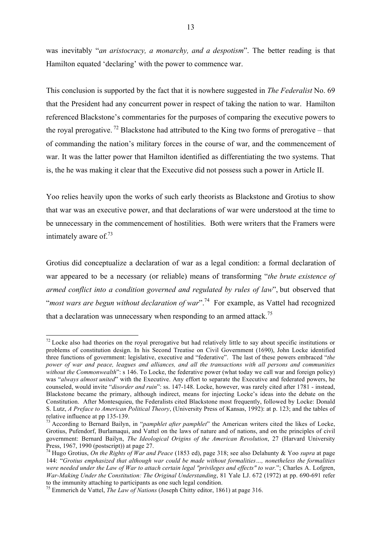was inevitably "*an aristocracy, a monarchy, and a despotism*". The better reading is that Hamilton equated 'declaring' with the power to commence war.

This conclusion is supported by the fact that it is nowhere suggested in *The Federalist* No. 69 that the President had any concurrent power in respect of taking the nation to war. Hamilton referenced Blackstone's commentaries for the purposes of comparing the executive powers to the royal prerogative.<sup>72</sup> Blackstone had attributed to the King two forms of prerogative – that of commanding the nation's military forces in the course of war, and the commencement of war. It was the latter power that Hamilton identified as differentiating the two systems. That is, the he was making it clear that the Executive did not possess such a power in Article II.

Yoo relies heavily upon the works of such early theorists as Blackstone and Grotius to show that war was an executive power, and that declarations of war were understood at the time to be unnecessary in the commencement of hostilities. Both were writers that the Framers were intimately aware of  $^{73}$ 

Grotius did conceptualize a declaration of war as a legal condition: a formal declaration of war appeared to be a necessary (or reliable) means of transforming "*the brute existence of armed conflict into a condition governed and regulated by rules of law*", but observed that "*most wars are begun without declaration of war*".74 For example, as Vattel had recognized that a declaration was unnecessary when responding to an armed attack.<sup>75</sup>

 $72$  Locke also had theories on the royal prerogative but had relatively little to say about specific institutions or problems of constitution design. In his Second Treatise on Civil Government (1690), John Locke identified three functions of government: legislative, executive and "federative". The last of these powers embraced "*the power of war and peace, leagues and alliances, and all the transactions with all persons and communities*  without the Commonwealth": s 146. To Locke, the federative power (what today we call war and foreign policy) was "*always almost united*" with the Executive. Any effort to separate the Executive and federated powers, he counseled, would invite "*disorder and ruin*": ss. 147-148. Locke, however, was rarely cited after 1781 - instead, Blackstone became the primary, although indirect, means for injecting Locke's ideas into the debate on the Constitution. After Montesquieu, the Federalists cited Blackstone most frequently, followed by Locke: Donald S. Lutz, *A Preface to American Political Theory*, (University Press of Kansas, 1992): at p. 123; and the tables of

<sup>&</sup>lt;sup>73</sup> According to Bernard Bailyn, in "*pamphlet after pamphlet*" the American writers cited the likes of Locke, Grotius, Pufendorf, Burlamaqui, and Vattel on the laws of nature and of nations, and on the principles of civil government: Bernard Bailyn, *The Ideological Origins of the American Revolution*, 27 (Harvard University Press, 1967, 1990 (postscript)) at page 27.<br><sup>74</sup> Hugo Grotius, *On the Rights of War and Peace* (1853 ed), page 318; see also Delahunty & Yoo *supra* at page

<sup>144: &</sup>quot;*Grotius emphasized that although war could be made without formalities…, nonetheless the formalities were needed under the Law of War to attach certain legal "privileges and effects" to war.*"; Charles A. Lofgren, *War-Making Under the Constitution: The Original Understanding*, 81 Yale LJ. 672 (1972) at pp. 690-691 refer to the immunity attaching to participants as one such legal condition. 75 Emmerich de Vattel, *The Law of Nations* (Joseph Chitty editor, 1861) at page 316.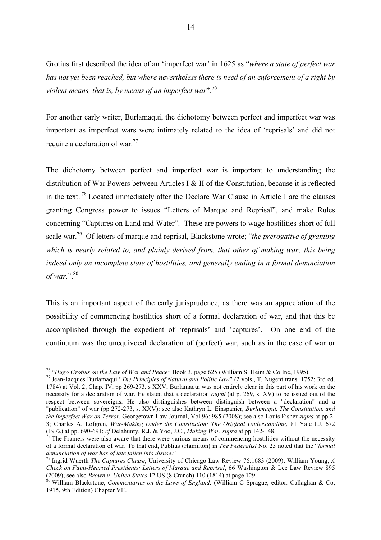Grotius first described the idea of an 'imperfect war' in 1625 as "*where a state of perfect war has not yet been reached, but where nevertheless there is need of an enforcement of a right by violent means, that is, by means of an imperfect war*".76

For another early writer, Burlamaqui, the dichotomy between perfect and imperfect war was important as imperfect wars were intimately related to the idea of 'reprisals' and did not require a declaration of war.<sup>77</sup>

The dichotomy between perfect and imperfect war is important to understanding the distribution of War Powers between Articles I & II of the Constitution, because it is reflected in the text. <sup>78</sup> Located immediately after the Declare War Clause in Article I are the clauses granting Congress power to issues "Letters of Marque and Reprisal", and make Rules concerning "Captures on Land and Water". These are powers to wage hostilities short of full scale war.79 Of letters of marque and reprisal, Blackstone wrote; "*the prerogative of granting which is nearly related to, and plainly derived from, that other of making war; this being indeed only an incomplete state of hostilities, and generally ending in a formal denunciation of war.*".<sup>80</sup>

This is an important aspect of the early jurisprudence, as there was an appreciation of the possibility of commencing hostilities short of a formal declaration of war, and that this be accomplished through the expedient of 'reprisals' and 'captures'. On one end of the continuum was the unequivocal declaration of (perfect) war, such as in the case of war or

<sup>76</sup> "*Hugo Grotius on the Law of War and Peace*" Book 3, page 625 (William S. Heim & Co Inc, 1995). <sup>77</sup> Jean-Jacques Burlamaqui "*The Principles of Natural and Politic Law*" (2 vols., T. Nugent trans. 1752; 3rd ed.

<sup>1784)</sup> at Vol. 2, Chap. IV, pp 269-273, s XXV; Burlamaqui was not entirely clear in this part of his work on the necessity for a declaration of war. He stated that a declaration *ought* (at p. 269, s. XV) to be issued out of the respect between sovereigns. He also distinguishes between distinguish between a "declaration" and a "publication" of war (pp 272-273, s. XXV): see also Kathryn L. Einspanier, *Burlamaqui, The Constitution, and the Imperfect War on Terror*, Georgetown Law Journal, Vol 96: 985 (2008); see also Louis Fisher *supra* at pp 2- 3; Charles A. Lofgren, *War-Making Under the Constitution: The Original Understanding*, 81 Yale LJ. 672 (1972) at pp. 690-691; *cf* Delahunty, R.J. & Yoo, J.C., *Making War*, *supra* at pp 142-148.<br><sup>78</sup> The Framers were also aware that there were various means of commencing hostilities without the necessity

of a formal declaration of war. To that end, Publius (Hamilton) in *The Federalist* No. 25 noted that the "*formal* 

*denunciation of war has of late fallen into disuse*." 79 Ingrid Wuerth *The Captures Clause*, University of Chicago Law Review 76:1683 (2009); William Young, *<sup>A</sup> Check on Faint-Hearted Presidents: Letters of Marque and Reprisal*, 66 Washington & Lee Law Review 895 (2009); see also *Brown v. United States* 12 US (8 Cranch) 110 (1814) at page 129. <sup>80</sup> William Blackstone, *Commentaries on the Laws of England,* (William C Sprague, editor. Callaghan & Co,

<sup>1915, 9</sup>th Edition) Chapter VII.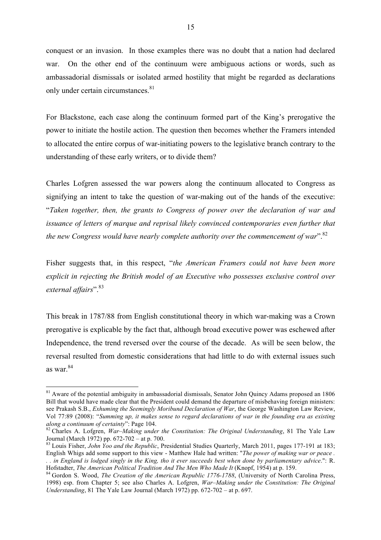conquest or an invasion. In those examples there was no doubt that a nation had declared war. On the other end of the continuum were ambiguous actions or words, such as ambassadorial dismissals or isolated armed hostility that might be regarded as declarations only under certain circumstances.<sup>81</sup>

For Blackstone, each case along the continuum formed part of the King's prerogative the power to initiate the hostile action. The question then becomes whether the Framers intended to allocated the entire corpus of war-initiating powers to the legislative branch contrary to the understanding of these early writers, or to divide them?

Charles Lofgren assessed the war powers along the continuum allocated to Congress as signifying an intent to take the question of war-making out of the hands of the executive: "*Taken together, then, the grants to Congress of power over the declaration of war and issuance of letters of marque and reprisal likely convinced contemporaries even further that*  the new Congress would have nearly complete authority over the commencement of war".<sup>82</sup>

Fisher suggests that, in this respect, "*the American Framers could not have been more explicit in rejecting the British model of an Executive who possesses exclusive control over*  external affairs".<sup>83</sup>

This break in 1787/88 from English constitutional theory in which war-making was a Crown prerogative is explicable by the fact that, although broad executive power was eschewed after Independence, the trend reversed over the course of the decade. As will be seen below, the reversal resulted from domestic considerations that had little to do with external issues such as war. 84

<sup>&</sup>lt;sup>81</sup> Aware of the potential ambiguity in ambassadorial dismissals, Senator John Quincy Adams proposed an 1806 Bill that would have made clear that the President could demand the departure of misbehaving foreign ministers: see Prakash S.B., *Exhuming the Seemingly Moribund Declaration of War*, the George Washington Law Review, Vol 77:89 (2008): "*Summing up, it makes sense to regard declarations of war in the founding era as existing* 

*along a continuum of certainty*": Page 104.<br><sup>82</sup> Charles A. Lofgren, *War–Making under the Constitution: The Original Understanding*, 81 The Yale Law Journal (March 1972) pp. 672-702 – at p. 700.

<sup>&</sup>lt;sup>83</sup> Louis Fisher, *John Yoo and the Republic*, Presidential Studies Quarterly, March 2011, pages 177-191 at 183; English Whigs add some support to this view - Matthew Hale had written: "*The power of making war or peace .* 

*<sup>. .</sup> in England is lodged singly in the King, tho it ever succeeds best when done by parliamentary advice*.": R. Hofstadter, *The American Political Tradition And The Men Who Made It* (Knopf, 1954) at p. 159.<br><sup>84</sup> Gordon S. Wood, *The Creation of the American Republic 1776-1788*, (University of North Carolina Press,

<sup>1998)</sup> esp. from Chapter 5; see also Charles A. Lofgren, *War–Making under the Constitution: The Original Understanding*, 81 The Yale Law Journal (March 1972) pp. 672-702 – at p. 697.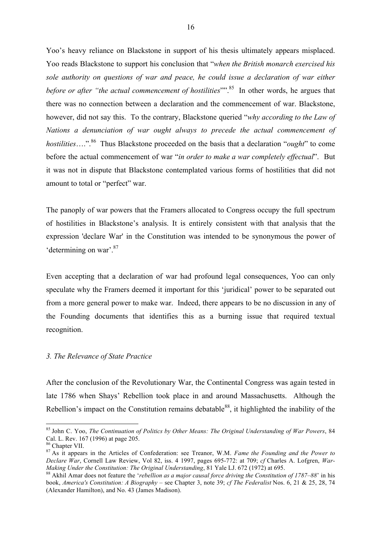Yoo's heavy reliance on Blackstone in support of his thesis ultimately appears misplaced. Yoo reads Blackstone to support his conclusion that "*when the British monarch exercised his sole authority on questions of war and peace, he could issue a declaration of war either before or after "the actual commencement of hostilities"*".<sup>85</sup> In other words, he argues that there was no connection between a declaration and the commencement of war. Blackstone, however, did not say this. To the contrary, Blackstone queried "*why according to the Law of Nations a denunciation of war ought always to precede the actual commencement of hostilities*….". 86 Thus Blackstone proceeded on the basis that a declaration "*ought*" to come before the actual commencement of war "*in order to make a war completely effectual*". But it was not in dispute that Blackstone contemplated various forms of hostilities that did not amount to total or "perfect" war.

The panoply of war powers that the Framers allocated to Congress occupy the full spectrum of hostilities in Blackstone's analysis. It is entirely consistent with that analysis that the expression 'declare War' in the Constitution was intended to be synonymous the power of 'determining on war'.<sup>87</sup>

Even accepting that a declaration of war had profound legal consequences, Yoo can only speculate why the Framers deemed it important for this 'juridical' power to be separated out from a more general power to make war. Indeed, there appears to be no discussion in any of the Founding documents that identifies this as a burning issue that required textual recognition.

#### *3. The Relevance of State Practice*

After the conclusion of the Revolutionary War, the Continental Congress was again tested in late 1786 when Shays' Rebellion took place in and around Massachusetts. Although the Rebellion's impact on the Constitution remains debatable<sup>88</sup>, it highlighted the inability of the

 <sup>85</sup> John C. Yoo, *The Continuation of Politics by Other Means: The Original Understanding of War Powers*, 84 Cal. L. Rev. 167 (1996) at page 205.<br><sup>86</sup> Chapter VII.

<sup>&</sup>lt;sup>87</sup> As it appears in the Articles of Confederation: see Treanor, W.M. *Fame the Founding and the Power to Declare War*, Cornell Law Review, Vol 82, iss. 4 1997, pages 695-772: at 709; *cf* Charles A. Lofgren, *War-Making Under the Constitution: The Original Understanding*, 81 Yale LJ. 672 (1972) at 695.<br><sup>88</sup> Akhil Amar does not feature the *'rebellion as a major causal force driving the Constitution of 1787–88'* in his

book, *America's Constitution: A Biography* – see Chapter 3, note 39; *cf The Federalist* Nos. 6, 21 & 25, 28, 74 (Alexander Hamilton), and No. 43 (James Madison).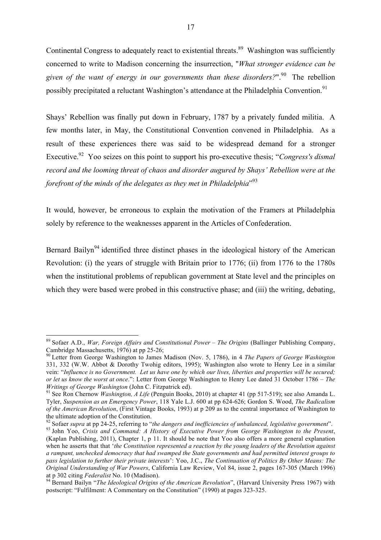Continental Congress to adequately react to existential threats.<sup>89</sup> Washington was sufficiently concerned to write to Madison concerning the insurrection, "*What stronger evidence can be given of the want of energy in our governments than these disorders?*". 90 The rebellion possibly precipitated a reluctant Washington's attendance at the Philadelphia Convention.<sup>91</sup>

Shays' Rebellion was finally put down in February, 1787 by a privately funded militia. A few months later, in May, the Constitutional Convention convened in Philadelphia. As a result of these experiences there was said to be widespread demand for a stronger Executive.<sup>92</sup> Yoo seizes on this point to support his pro-executive thesis; "*Congress's dismal record and the looming threat of chaos and disorder augured by Shays' Rebellion were at the forefront of the minds of the delegates as they met in Philadelphia*" 93

It would, however, be erroneous to explain the motivation of the Framers at Philadelphia solely by reference to the weaknesses apparent in the Articles of Confederation.

Bernard Bailyn<sup>94</sup> identified three distinct phases in the ideological history of the American Revolution: (i) the years of struggle with Britain prior to 1776; (ii) from 1776 to the 1780s when the institutional problems of republican government at State level and the principles on which they were based were probed in this constructive phase; and (iii) the writing, debating,

 <sup>89</sup> Sofaer A.D., *War, Foreign Affairs and Constitutional Power – The Origins* (Ballinger Publishing Company,

<sup>&</sup>lt;sup>90</sup> Letter from George Washington to James Madison (Nov. 5, 1786), in 4 *The Papers of George Washington* 331, 332 (W.W. Abbot & Dorothy Twohig editors, 1995); Washington also wrote to Henry Lee in a similar vein: "*Influence is no Government. Let us have one by which our lives, liberties and properties will be secured; or let us know the worst at once*.": Letter from George Washington to Henry Lee dated 31 October 1786 – *The Writings of George Washington* (John C. Fitzpatrick ed).<br><sup>91</sup> See Ron Chernow *Washington, A Life* (Penguin Books, 2010) at chapter 41 (pp 517-519); see also Amanda L.

Tyler, *Suspension as an Emergency Power*, 118 Yale L.J. 600 at pp 624-626; Gordon S. Wood, *The Radicalism of the American Revolution*, (First Vintage Books, 1993) at p 209 as to the central importance of Washington to the ultimate adoption of the Constitution.

<sup>&</sup>lt;sup>92</sup> Sofaer supra at pp 24-25, referring to "the dangers and inefficiencies of unbalanced, legislative government".<br><sup>93</sup> John Yoo, Crisis and Command: A History of Executive Power from George Washington to the Present,

<sup>(</sup>Kaplan Publishing, 2011), Chapter 1, p 11. It should be note that Yoo also offers a more general explanation when he asserts that that '*the Constitution represented a reaction by the young leaders of the Revolution against a rampant, unchecked democracy that had swamped the State governments and had permitted interest groups to pass legislation to further their private interests*': Yoo, J.C., *The Continuation of Politics By Other Means: The Original Understanding of War Powers*, California Law Review, Vol 84, issue 2, pages 167-305 (March 1996) at p 302 citing *Federalist* No. 10 (Madison).<br><sup>94</sup> Bernard Bailyn "*The Ideological Origins of the American Revolution*", (Harvard University Press 1967) with

postscript: "Fulfilment: A Commentary on the Constitution" (1990) at pages 323-325.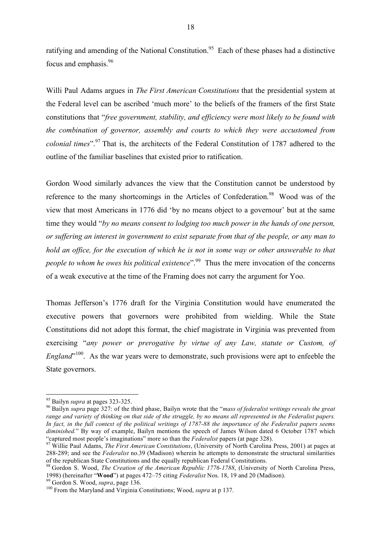ratifying and amending of the National Constitution.<sup>95</sup> Each of these phases had a distinctive focus and emphasis.96

Willi Paul Adams argues in *The First American Constitutions* that the presidential system at the Federal level can be ascribed 'much more' to the beliefs of the framers of the first State constitutions that "*free government, stability, and efficiency were most likely to be found with the combination of governor, assembly and courts to which they were accustomed from colonial times*". <sup>97</sup> That is, the architects of the Federal Constitution of 1787 adhered to the outline of the familiar baselines that existed prior to ratification.

Gordon Wood similarly advances the view that the Constitution cannot be understood by reference to the many shortcomings in the Articles of Confederation.<sup>98</sup> Wood was of the view that most Americans in 1776 did 'by no means object to a governour' but at the same time they would "*by no means consent to lodging too much power in the hands of one person, or suffering an interest in government to exist separate from that of the people, or any man to hold an office, for the execution of which he is not in some way or other answerable to that people to whom he owes his political existence*". 99 Thus the mere invocation of the concerns of a weak executive at the time of the Framing does not carry the argument for Yoo.

Thomas Jefferson's 1776 draft for the Virginia Constitution would have enumerated the executive powers that governors were prohibited from wielding. While the State Constitutions did not adopt this format, the chief magistrate in Virginia was prevented from exercising "*any power or prerogative by virtue of any Law, statute or Custom, of England*<sup>"100</sup>. As the war years were to demonstrate, such provisions were apt to enfeeble the State governors.

<sup>&</sup>lt;sup>95</sup> Bailyn *supra* at pages 323-325.<br><sup>96</sup> Bailyn *supra* page 327: of the third phase, Bailyn wrote that the "*mass of federalist writings reveals the great range and variety of thinking on that side of the struggle, by no means all represented in the Federalist papers. In fact, in the full context of the political writings of 1787-88 the importance of the Federalist papers seems diminished.*" By way of example, Bailyn mentions the speech of James Wilson dated 6 October 1787 which "captured most people's imaginations" more so than the *Federalist* papers (at page 328).

<sup>&</sup>lt;sup>97</sup> Willie Paul Adams, *The First American Constitutions*, (University of North Carolina Press, 2001) at pages at 288-289; and see the *Federalist* no.39 (Madison) wherein he attempts to demonstrate the structural similarities of the republican State Constitutions and the equally republican Federal Constitutions.

<sup>&</sup>lt;sup>98</sup> Gordon S. Wood, *The Creation of the American Republic 1776-1788*, (University of North Carolina Press, 1998) (hereinafter "**Wood**") at pages 472–75 citing *Federalist* Nos. 18, 19 and 20 (Madison).<br><sup>99</sup> Gordon S. Wood, *supra*, page 136.<br><sup>100</sup> From the Maryland and Virginia Constitutions; Wood, *supra* at p 137.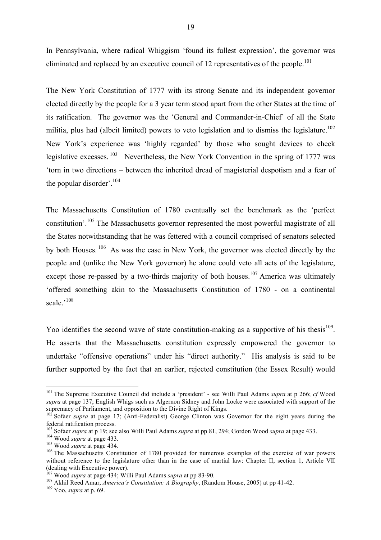In Pennsylvania, where radical Whiggism 'found its fullest expression', the governor was eliminated and replaced by an executive council of 12 representatives of the people.<sup>101</sup>

The New York Constitution of 1777 with its strong Senate and its independent governor elected directly by the people for a 3 year term stood apart from the other States at the time of its ratification. The governor was the 'General and Commander-in-Chief' of all the State militia, plus had (albeit limited) powers to veto legislation and to dismiss the legislature.<sup>102</sup> New York's experience was 'highly regarded' by those who sought devices to check legislative excesses. <sup>103</sup> Nevertheless, the New York Convention in the spring of 1777 was 'torn in two directions – between the inherited dread of magisterial despotism and a fear of the popular disorder'.<sup>104</sup>

The Massachusetts Constitution of 1780 eventually set the benchmark as the 'perfect constitution'.<sup>105</sup> The Massachusetts governor represented the most powerful magistrate of all the States notwithstanding that he was fettered with a council comprised of senators selected by both Houses.<sup>106</sup> As was the case in New York, the governor was elected directly by the people and (unlike the New York governor) he alone could veto all acts of the legislature, except those re-passed by a two-thirds majority of both houses.<sup>107</sup> America was ultimately 'offered something akin to the Massachusetts Constitution of 1780 - on a continental scale.'<sup>108</sup>

Yoo identifies the second wave of state constitution-making as a supportive of his thesis<sup>109</sup>. He asserts that the Massachusetts constitution expressly empowered the governor to undertake "offensive operations" under his "direct authority." His analysis is said to be further supported by the fact that an earlier, rejected constitution (the Essex Result) would

 <sup>101</sup> The Supreme Executive Council did include a 'president' - see Willi Paul Adams *supra* at p 266; *cf* Wood *supra* at page 137; English Whigs such as Algernon Sidney and John Locke were associated with support of the supremacy of Parliament, and opposition to the Divine Right of Kings.

<sup>&</sup>lt;sup>102</sup> Sofaer *supra* at page 17; (Anti-Federalist) George Clinton was Governor for the eight years during the federal ratification process.<br><sup>103</sup> Sofaer *supra* at p 19; see also Willi Paul Adams *supra* at pp 81, 294; Gordon Wood *supra* at page 433.

<sup>&</sup>lt;sup>104</sup> Wood *supra* at page 433.<br><sup>105</sup> Wood *supra* at page 434.<br><sup>106</sup> The Massachusetts Constitution of 1780 provided for numerous examples of the exercise of war powers without reference to the legislature other than in the case of martial law: Chapter II, section 1, Article VII (dealing with Executive power).<br><sup>107</sup> Wood *supra* at page 434; Willi Paul Adams *supra* at pp 83-90.

<sup>&</sup>lt;sup>108</sup> Akhil Reed Amar, *America's Constitution: A Biography*, (Random House, 2005) at pp 41-42.<br><sup>109</sup> Yoo, *supra* at p. 69.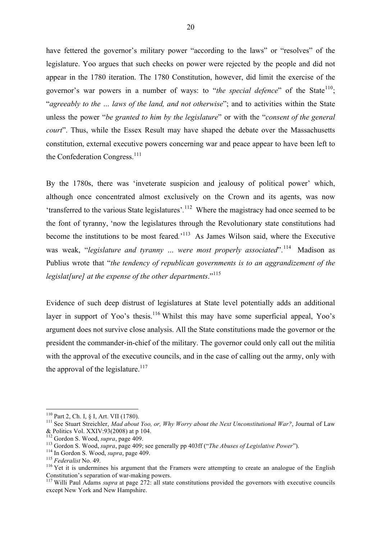have fettered the governor's military power "according to the laws" or "resolves" of the legislature. Yoo argues that such checks on power were rejected by the people and did not appear in the 1780 iteration. The 1780 Constitution, however, did limit the exercise of the governor's war powers in a number of ways: to "*the special defence*" of the State<sup>110</sup>; "*agreeably to the … laws of the land, and not otherwise*"; and to activities within the State unless the power "*be granted to him by the legislature*" or with the "*consent of the general court*". Thus, while the Essex Result may have shaped the debate over the Massachusetts constitution, external executive powers concerning war and peace appear to have been left to the Confederation Congress.<sup>111</sup>

By the 1780s, there was 'inveterate suspicion and jealousy of political power' which, although once concentrated almost exclusively on the Crown and its agents, was now 'transferred to the various State legislatures'*.* <sup>112</sup>Where the magistracy had once seemed to be the font of tyranny, 'now the legislatures through the Revolutionary state constitutions had become the institutions to be most feared*.*' 113 As James Wilson said, where the Executive was weak, "*legislature and tyranny ... were most properly associated*".<sup>114</sup> Madison as Publius wrote that "*the tendency of republican governments is to an aggrandizement of the legislat[ure] at the expense of the other departments*."<sup>115</sup>

Evidence of such deep distrust of legislatures at State level potentially adds an additional layer in support of Yoo's thesis.<sup>116</sup> Whilst this may have some superficial appeal, Yoo's argument does not survive close analysis. All the State constitutions made the governor or the president the commander-in-chief of the military. The governor could only call out the militia with the approval of the executive councils, and in the case of calling out the army, only with the approval of the legislature.<sup>117</sup>

<sup>&</sup>lt;sup>110</sup> Part 2, Ch. I, § I, Art. VII (1780).<br><sup>111</sup> See Stuart Streichler, *Mad about Yoo, or, Why Worry about the Next Unconstitutional War?*, Journal of Law & Politics Vol. XXIV:93(2008) at p 104.<br><sup>112</sup> Gordon S. Wood, *supra*, page 409.

<sup>&</sup>lt;sup>113</sup> Gordon S. Wood, *supra*, page 409; see generally pp 403ff ("*The Abuses of Legislative Power*").<br><sup>114</sup> In Gordon S. Wood, *supra*, page 409.<br><sup>115</sup> Federalist No. 49.<br><sup>116</sup> Yet it is undermines his argument that the Constitution's separation of war-making powers. <sup>117</sup> Willi Paul Adams *supra* at page 272: all state constitutions provided the governors with executive councils

except New York and New Hampshire.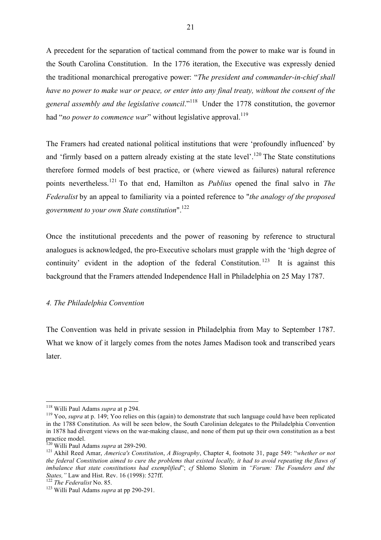A precedent for the separation of tactical command from the power to make war is found in the South Carolina Constitution. In the 1776 iteration, the Executive was expressly denied the traditional monarchical prerogative power: "*The president and commander-in-chief shall have no power to make war or peace, or enter into any final treaty, without the consent of the general assembly and the legislative council*."118 Under the 1778 constitution, the governor had "no power to commence war" without legislative approval.<sup>119</sup>

The Framers had created national political institutions that were 'profoundly influenced' by and 'firmly based on a pattern already existing at the state level'.<sup>120</sup> The State constitutions therefore formed models of best practice, or (where viewed as failures) natural reference points nevertheless.<sup>121</sup> To that end, Hamilton as *Publius* opened the final salvo in *The Federalist* by an appeal to familiarity via a pointed reference to "*the analogy of the proposed government to your own State constitution*". 122

Once the institutional precedents and the power of reasoning by reference to structural analogues is acknowledged, the pro-Executive scholars must grapple with the 'high degree of continuity' evident in the adoption of the federal Constitution.<sup>123</sup> It is against this background that the Framers attended Independence Hall in Philadelphia on 25 May 1787.

#### *4. The Philadelphia Convention*

The Convention was held in private session in Philadelphia from May to September 1787. What we know of it largely comes from the notes James Madison took and transcribed years later.

<sup>&</sup>lt;sup>118</sup> Willi Paul Adams *supra* at p 294.<br><sup>119</sup> Yoo, *supra* at p. 149; Yoo relies on this (again) to demonstrate that such language could have been replicated in the 1788 Constitution. As will be seen below, the South Carolinian delegates to the Philadelphia Convention in 1878 had divergent views on the war-making clause, and none of them put up their own constitution as a best practice model.<br><sup>120</sup> Willi Paul Adams *supra* at 289-290.

<sup>&</sup>lt;sup>121</sup> Akhil Reed Amar, *America's Constitution, A Biography*, Chapter 4, footnote 31, page 549: "*whether or not the federal Constitution aimed to cure the problems that existed locally, it had to avoid repeating the flaws of imbalance that state constitutions had exemplified*"; *cf* Shlomo Slonim in *"Forum: The Founders and the* 

<sup>&</sup>lt;sup>122</sup> The Federalist No. 85.<br><sup>123</sup> Willi Paul Adams *supra* at pp 290-291.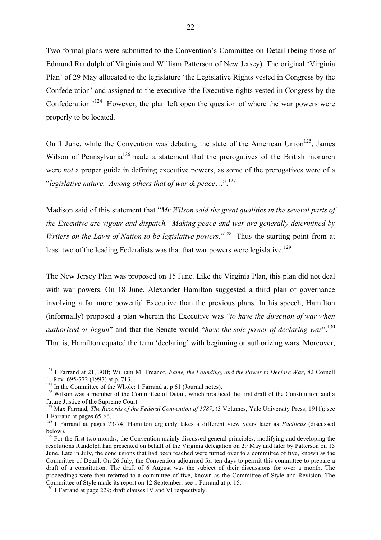Two formal plans were submitted to the Convention's Committee on Detail (being those of Edmund Randolph of Virginia and William Patterson of New Jersey). The original 'Virginia Plan' of 29 May allocated to the legislature 'the Legislative Rights vested in Congress by the Confederation' and assigned to the executive 'the Executive rights vested in Congress by the Confederation.<sup>'124</sup> However, the plan left open the question of where the war powers were properly to be located.

On 1 June, while the Convention was debating the state of the American Union<sup>125</sup>. James Wilson of Pennsylvania<sup>126</sup> made a statement that the prerogatives of the British monarch were *not* a proper guide in defining executive powers, as some of the prerogatives were of a "*legislative nature. Among others that of war & peace*…".127

Madison said of this statement that "*Mr Wilson said the great qualities in the several parts of the Executive are vigour and dispatch. Making peace and war are generally determined by Writers on the Laws of Nation to be legislative powers.*<sup>"128</sup> Thus the starting point from at least two of the leading Federalists was that that war powers were legislative.<sup>129</sup>

The New Jersey Plan was proposed on 15 June. Like the Virginia Plan, this plan did not deal with war powers. On 18 June, Alexander Hamilton suggested a third plan of governance involving a far more powerful Executive than the previous plans. In his speech, Hamilton (informally) proposed a plan wherein the Executive was "*to have the direction of war when authorized or begun*" and that the Senate would "*have the sole power of declaring war*".130 That is, Hamilton equated the term 'declaring' with beginning or authorizing wars. Moreover,

 <sup>124</sup> 1 Farrand at 21, 30ff; William M. Treanor, *Fame, the Founding, and the Power to Declare War*, 82 Cornell L. Rev. 695-772 (1997) at p. 713.<br><sup>125</sup> In the Committee of the Whole: 1 Farrand at p 61 (Journal notes).<br><sup>126</sup> Wilson was a member of the Committee of Detail, which produced the first draft of the Constitution, and a

future Justice of the Supreme Court.

<sup>&</sup>lt;sup>127</sup> Max Farrand, *The Records of the Federal Convention of 1787*, (3 Volumes, Yale University Press, 1911); see 1 Farrand at pages 65-66. <sup>128</sup> 1 Farrand at pages 73-74; Hamilton arguably takes a different view years later as *Pacificus* (discussed

below).

 $129$  For the first two months, the Convention mainly discussed general principles, modifying and developing the resolutions Randolph had presented on behalf of the Virginia delegation on 29 May and later by Patterson on 15 June. Late in July, the conclusions that had been reached were turned over to a committee of five, known as the Committee of Detail. On 26 July, the Convention adjourned for ten days to permit this committee to prepare a draft of a constitution. The draft of 6 August was the subject of their discussions for over a month. The proceedings were then referred to a committee of five, known as the Committee of Style and Revision. The Committee of Style made its report on 12 September: see 1 Farrand at p. 15. <sup>130</sup> 1 Farrand at page 229; draft clauses IV and VI respectively.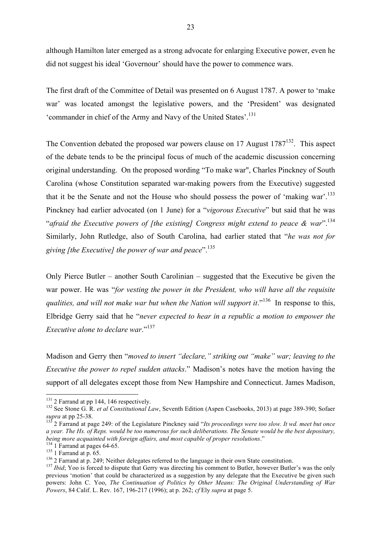although Hamilton later emerged as a strong advocate for enlarging Executive power, even he did not suggest his ideal 'Governour' should have the power to commence wars.

The first draft of the Committee of Detail was presented on 6 August 1787. A power to 'make war' was located amongst the legislative powers, and the 'President' was designated 'commander in chief of the Army and Navy of the United States'.131

The Convention debated the proposed war powers clause on 17 August  $1787<sup>132</sup>$ . This aspect of the debate tends to be the principal focus of much of the academic discussion concerning original understanding. On the proposed wording "To make war", Charles Pinckney of South Carolina (whose Constitution separated war-making powers from the Executive) suggested that it be the Senate and not the House who should possess the power of 'making war'.<sup>133</sup> Pinckney had earlier advocated (on 1 June) for a "*vigorous Executive*" but said that he was "*afraid the Executive powers of [the existing] Congress might extend to peace & war*".134 Similarly, John Rutledge, also of South Carolina, had earlier stated that "*he was not for giving [the Executive] the power of war and peace*".135

Only Pierce Butler – another South Carolinian – suggested that the Executive be given the war power. He was "*for vesting the power in the President, who will have all the requisite*  qualities, and will not make war but when the Nation will support it."<sup>136</sup> In response to this, Elbridge Gerry said that he "*never expected to hear in a republic a motion to empower the Executive alone to declare war*."<sup>137</sup>

Madison and Gerry then "*moved to insert "declare," striking out "make" war; leaving to the Executive the power to repel sudden attacks*." Madison's notes have the motion having the support of all delegates except those from New Hampshire and Connecticut. James Madison,

<sup>&</sup>lt;sup>131</sup> 2 Farrand at pp 144, 146 respectively.<br><sup>132</sup> See Stone G. R. *et al Constitutional Law*, Seventh Edition (Aspen Casebooks, 2013) at page 389-390; Sofaer *supra* at pp 25-38.

<sup>&</sup>lt;sup>133</sup> 2 Farrand at page 249: of the Legislature Pinckney said "*Its proceedings were too slow. It wd. meet but once a year. The Hs. of Reps. would be too numerous for such deliberations. The Senate would be the best depositary, being more acquainted with foreign affairs, and most capable of proper resolutions."* 

<sup>&</sup>lt;sup>134</sup> 1 Farrand at pages 64-65.<br><sup>135</sup> 1 Farrand at p. 65.<br><sup>136</sup> 2 Farrand at p. 249; Neither delegates referred to the language in their own State constitution.<br><sup>136</sup> 2 Farrand at p. 249; Neither delegates referred to the previous 'motion' that could be characterized as a suggestion by any delegate that the Executive be given such powers: John C. Yoo, *The Continuation of Politics by Other Means: The Original Understanding of War Powers*, 84 Calif. L. Rev. 167, 196-217 (1996); at p. 262; *cf* Ely *supra* at page 5.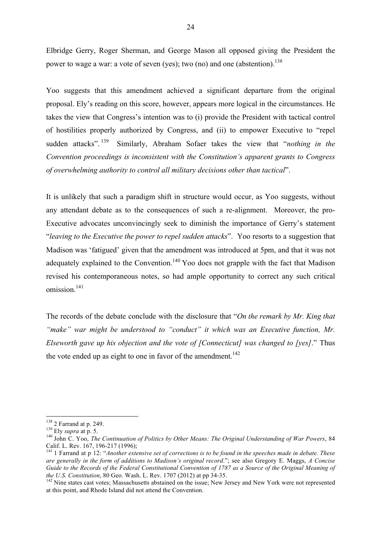Elbridge Gerry, Roger Sherman, and George Mason all opposed giving the President the power to wage a war: a vote of seven (yes); two (no) and one (abstention).<sup>138</sup>

Yoo suggests that this amendment achieved a significant departure from the original proposal. Ely's reading on this score, however, appears more logical in the circumstances. He takes the view that Congress's intention was to (i) provide the President with tactical control of hostilities properly authorized by Congress, and (ii) to empower Executive to "repel sudden attacks".<sup>139</sup> Similarly, Abraham Sofaer takes the view that "*nothing in the Convention proceedings is inconsistent with the Constitution's apparent grants to Congress of overwhelming authority to control all military decisions other than tactical*".

It is unlikely that such a paradigm shift in structure would occur, as Yoo suggests, without any attendant debate as to the consequences of such a re-alignment. Moreover, the pro-Executive advocates unconvincingly seek to diminish the importance of Gerry's statement "*leaving to the Executive the power to repel sudden attacks*". Yoo resorts to a suggestion that Madison was 'fatigued' given that the amendment was introduced at 5pm, and that it was not adequately explained to the Convention.<sup>140</sup> Yoo does not grapple with the fact that Madison revised his contemporaneous notes, so had ample opportunity to correct any such critical omission.<sup>141</sup>

The records of the debate conclude with the disclosure that "*On the remark by Mr. King that "make" war might be understood to "conduct" it which was an Executive function, Mr. Elseworth gave up his objection and the vote of [Connecticut] was changed to [yes]*." Thus the vote ended up as eight to one in favor of the amendment.<sup>142</sup>

<sup>&</sup>lt;sup>138</sup> 2 Farrand at p. 249.<br><sup>139</sup> Ely *supra* at p. 5.<br><sup>140</sup> John C. Yoo, *The Continuation of Politics by Other Means: The Original Understanding of War Powers*, 84<br>Calif. L. Rev. 167, 196-217 (1996):

<sup>&</sup>lt;sup>141</sup> 1 Farrand at p 12: "*Another extensive set of corrections is to be found in the speeches made in debate. These are generally in the form of additions to Madison's original record*."; see also Gregory E. Maggs, *A Concise Guide to the Records of the Federal Constitutional Convention of 1787 as a Source of the Original Meaning of the U.S. Constitution, 80 Geo. Wash. L. Rev. 1707 (2012) at pp 34-35.* 

<sup>&</sup>lt;sup>142</sup> Nine states cast votes; Massachusetts abstained on the issue; New Jersey and New York were not represented at this point, and Rhode Island did not attend the Convention.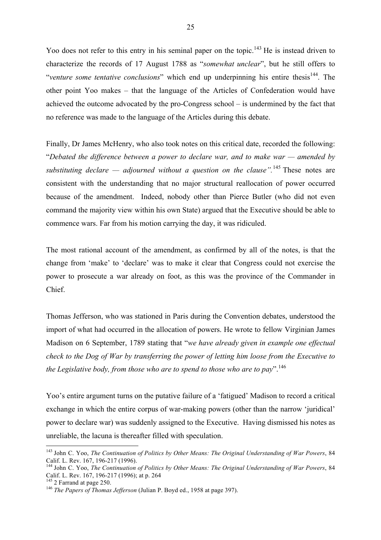Yoo does not refer to this entry in his seminal paper on the topic.<sup>143</sup> He is instead driven to characterize the records of 17 August 1788 as "*somewhat unclear*", but he still offers to "*venture some tentative conclusions*" which end up underpinning his entire thesis<sup>144</sup>. The other point Yoo makes – that the language of the Articles of Confederation would have achieved the outcome advocated by the pro-Congress school – is undermined by the fact that no reference was made to the language of the Articles during this debate.

Finally, Dr James McHenry, who also took notes on this critical date, recorded the following: "*Debated the difference between a power to declare war, and to make war — amended by substituting declare — adjourned without a question on the clause".*<sup>145</sup> These notes are consistent with the understanding that no major structural reallocation of power occurred because of the amendment. Indeed, nobody other than Pierce Butler (who did not even command the majority view within his own State) argued that the Executive should be able to commence wars. Far from his motion carrying the day, it was ridiculed.

The most rational account of the amendment, as confirmed by all of the notes, is that the change from 'make' to 'declare' was to make it clear that Congress could not exercise the power to prosecute a war already on foot, as this was the province of the Commander in Chief.

Thomas Jefferson, who was stationed in Paris during the Convention debates, understood the import of what had occurred in the allocation of powers. He wrote to fellow Virginian James Madison on 6 September, 1789 stating that "*we have already given in example one effectual check to the Dog of War by transferring the power of letting him loose from the Executive to the Legislative body, from those who are to spend to those who are to pay*".<sup>146</sup>

Yoo's entire argument turns on the putative failure of a 'fatigued' Madison to record a critical exchange in which the entire corpus of war-making powers (other than the narrow 'juridical' power to declare war) was suddenly assigned to the Executive. Having dismissed his notes as unreliable, the lacuna is thereafter filled with speculation.

<sup>&</sup>lt;sup>143</sup> John C. Yoo, *The Continuation of Politics by Other Means: The Original Understanding of War Powers*, 84 Calif. L. Rev. 167, 196-217 (1996).

<sup>&</sup>lt;sup>144</sup> John C. Yoo, *The Continuation of Politics by Other Means: The Original Understanding of War Powers*, 84 Calif. L. Rev. 167, 196-217 (1996): at p. 264

<sup>&</sup>lt;sup>145</sup> 2 Farrand at page 250.<br><sup>146</sup> *The Papers of Thomas Jefferson* (Julian P. Boyd ed., 1958 at page 397).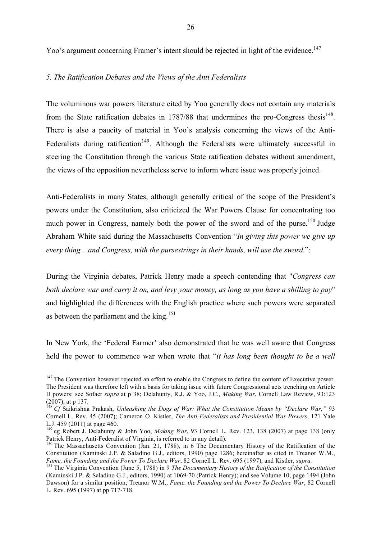Yoo's argument concerning Framer's intent should be rejected in light of the evidence.<sup>147</sup>

## *5. The Ratification Debates and the Views of the Anti Federalists*

The voluminous war powers literature cited by Yoo generally does not contain any materials from the State ratification debates in  $1787/88$  that undermines the pro-Congress thesis<sup>148</sup>. There is also a paucity of material in Yoo's analysis concerning the views of the Anti-Federalists during ratification<sup>149</sup>. Although the Federalists were ultimately successful in steering the Constitution through the various State ratification debates without amendment, the views of the opposition nevertheless serve to inform where issue was properly joined.

Anti-Federalists in many States, although generally critical of the scope of the President's powers under the Constitution, also criticized the War Powers Clause for concentrating too much power in Congress, namely both the power of the sword and of the purse.<sup>150</sup> Judge Abraham White said during the Massachusetts Convention "*In giving this power we give up every thing .. and Congress, with the pursestrings in their hands, will use the sword.*":

During the Virginia debates, Patrick Henry made a speech contending that "*Congress can both declare war and carry it on, and levy your money, as long as you have a shilling to pay*" and highlighted the differences with the English practice where such powers were separated as between the parliament and the king.<sup>151</sup>

In New York, the 'Federal Farmer' also demonstrated that he was well aware that Congress held the power to commence war when wrote that "*it has long been thought to be a well* 

<sup>&</sup>lt;sup>147</sup> The Convention however rejected an effort to enable the Congress to define the content of Executive power. The President was therefore left with a basis for taking issue with future Congressional acts trenching on Article II powers: see Sofaer *supra* at p 38; Delahunty, R.J. & Yoo, J.C., *Making War*, Cornell Law Review, 93:123 (2007), at p 137.

<sup>148</sup> *Cf* Saikrishna Prakash, *Unleashing the Dogs of War: What the Constitution Means by "Declare War,"* 93 Cornell L. Rev. 45 (2007); Cameron O. Kistler, *The Anti-Federalists and Presidential War Powers*, 121 Yale L.J. 459 (2011) at page 460.

<sup>&</sup>lt;sup>149</sup> eg Robert J. Delahunty & John Yoo, *Making War*, 93 Cornell L. Rev. 123, 138 (2007) at page 138 (only Patrick Henry, Anti-Federalist of Virginia, is referred to in any detail).

<sup>&</sup>lt;sup>150</sup> The Massachusetts Convention (Jan. 21, 1788), in 6 The Documentary History of the Ratification of the Constitution (Kaminski J.P. & Saladino G.J., editors, 1990) page 1286; hereinafter as cited in Treanor W.M., Fame, the Founding and the Power To Declare War, 82 Cornell L. Rev. 695 (1997), and Kistler, supra.

<sup>&</sup>lt;sup>151</sup> The Virginia Convention (June 5, 1788) in 9 *The Documentary History of the Ratification of the Constitution* (Kaminski J.P. & Saladino G.J., editors, 1990) at 1069-70 (Patrick Henry); and see Volume 10, page 1494 (John Dawson) for a similar position; Treanor W.M., *Fame, the Founding and the Power To Declare War*, 82 Cornell L. Rev. 695 (1997) at pp 717-718.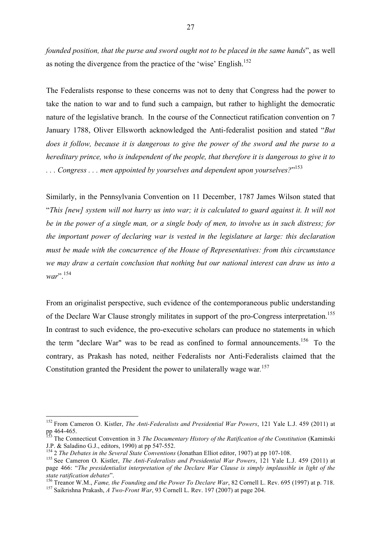*founded position, that the purse and sword ought not to be placed in the same hands*", as well as noting the divergence from the practice of the 'wise' English.<sup>152</sup>

The Federalists response to these concerns was not to deny that Congress had the power to take the nation to war and to fund such a campaign, but rather to highlight the democratic nature of the legislative branch. In the course of the Connecticut ratification convention on 7 January 1788, Oliver Ellsworth acknowledged the Anti-federalist position and stated "*But does it follow, because it is dangerous to give the power of the sword and the purse to a hereditary prince, who is independent of the people, that therefore it is dangerous to give it to . . . Congress . . . men appointed by yourselves and dependent upon yourselves?*" 153

Similarly, in the Pennsylvania Convention on 11 December, 1787 James Wilson stated that "*This [new] system will not hurry us into war; it is calculated to guard against it. It will not be in the power of a single man, or a single body of men, to involve us in such distress; for the important power of declaring war is vested in the legislature at large: this declaration must be made with the concurrence of the House of Representatives: from this circumstance we may draw a certain conclusion that nothing but our national interest can draw us into a*  war".<sup>154</sup>

From an originalist perspective, such evidence of the contemporaneous public understanding of the Declare War Clause strongly militates in support of the pro-Congress interpretation.<sup>155</sup> In contrast to such evidence, the pro-executive scholars can produce no statements in which the term "declare War" was to be read as confined to formal announcements.<sup>156</sup> To the contrary, as Prakash has noted, neither Federalists nor Anti-Federalists claimed that the Constitution granted the President the power to unilaterally wage war*.* 157

 <sup>152</sup> From Cameron O. Kistler, *The Anti-Federalists and Presidential War Powers*, 121 Yale L.J. 459 (2011) at

pp 464-465.<br><sup>153</sup> The Connecticut Convention in 3 *The Documentary History of the Ratification of the Constitution* (Kaminski<br>J.P. & Saladino G.J., editors, 1990) at pp 547-552.

<sup>&</sup>lt;sup>154</sup> 2 *The Debates in the Several State Conventions* (Jonathan Elliot editor, 1907) at pp 107-108.<br><sup>155</sup> See Cameron O. Kistler, *The Anti-Federalists and Presidential War Powers*, 121 Yale L.J. 459 (2011) at

page 466: "*The presidentialist interpretation of the Declare War Clause is simply implausible in light of the*  state ratification debates".<br>
<sup>156</sup> Treanor W.M., *Fame, the Founding and the Power To Declare War*, 82 Cornell L. Rev. 695 (1997) at p. 718.<br>
<sup>157</sup> Saikrishna Prakash, *A Two-Front War*, 93 Cornell L. Rev. 197 (2007) at p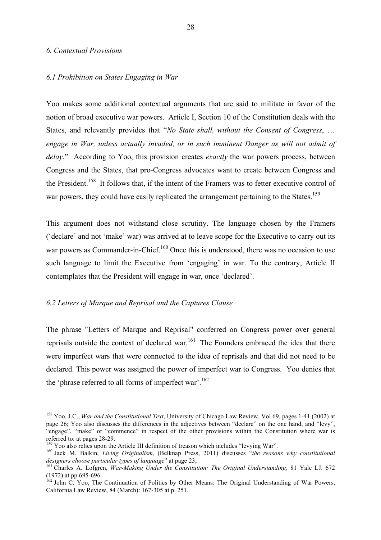#### *6. Contextual Provisions*

#### *6.1 Prohibition on States Engaging in War*

Yoo makes some additional contextual arguments that are said to militate in favor of the notion of broad executive war powers. Article I, Section 10 of the Constitution deals with the States, and relevantly provides that "*No State shall, without the Consent of Congress*, … *engage in War, unless actually invaded, or in such imminent Danger as will not admit of delay*." According to Yoo, this provision creates *exactly* the war powers process, between Congress and the States, that pro-Congress advocates want to create between Congress and the President.<sup>158</sup> It follows that, if the intent of the Framers was to fetter executive control of war powers, they could have easily replicated the arrangement pertaining to the States.<sup>159</sup>

This argument does not withstand close scrutiny. The language chosen by the Framers ('declare' and not 'make' war) was arrived at to leave scope for the Executive to carry out its war powers as Commander-in-Chief.<sup>160</sup> Once this is understood, there was no occasion to use such language to limit the Executive from 'engaging' in war. To the contrary, Article II contemplates that the President will engage in war, once 'declared'.

#### *6.2 Letters of Marque and Reprisal and the Captures Clause*

The phrase "Letters of Marque and Reprisal" conferred on Congress power over general reprisals outside the context of declared war.<sup>161</sup> The Founders embraced the idea that there were imperfect wars that were connected to the idea of reprisals and that did not need to be declared. This power was assigned the power of imperfect war to Congress. Yoo denies that the 'phrase referred to all forms of imperfect war'.<sup>162</sup>

 <sup>158</sup> Yoo, J.C., *War and the Constitutional Text*, University of Chicago Law Review, Vol 69, pages 1-41 (2002) at page 26; Yoo also discusses the differences in the adjectives between "declare" on the one hand, and "levy", "engage", "make" or "commence" in respect of the other provisions within the Constitution where war is

referred to: at pages 28-29.<br><sup>159</sup> Yoo also relies upon the Article III definition of treason which includes "levying War".<br><sup>159</sup> Jack M. Balkin, *Living Originalism*, (Belknap Press, 2011) discusses "*the reasons why cons* 

<sup>&</sup>lt;sup>161</sup> Charles A. Lofgren, *War-Making Under the Constitution: The Original Understanding*, 81 Yale LJ. 672 (1972) at pp 695-696.<br><sup>162</sup> John C. Yoo, The Continuation of Politics by Other Means: The Original Understanding of War Powers,

California Law Review, 84 (March): 167-305 at p. 251.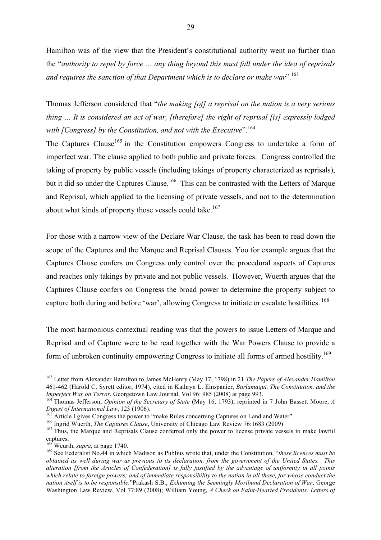Hamilton was of the view that the President's constitutional authority went no further than the "*authority to repel by force … any thing beyond this must fall under the idea of reprisals and requires the sanction of that Department which is to declare or make war*".163

Thomas Jefferson considered that "*the making [of] a reprisal on the nation is a very serious thing … It is considered an act of war, [therefore] the right of reprisal [is] expressly lodged*  with [Congress] by the Constitution, and not with the Executive".<sup>164</sup>

The Captures Clause<sup>165</sup> in the Constitution empowers Congress to undertake a form of imperfect war. The clause applied to both public and private forces. Congress controlled the taking of property by public vessels (including takings of property characterized as reprisals), but it did so under the Captures Clause.<sup>166</sup> This can be contrasted with the Letters of Marque and Reprisal, which applied to the licensing of private vessels, and not to the determination about what kinds of property those vessels could take.<sup>167</sup>

For those with a narrow view of the Declare War Clause, the task has been to read down the scope of the Captures and the Marque and Reprisal Clauses. Yoo for example argues that the Captures Clause confers on Congress only control over the procedural aspects of Captures and reaches only takings by private and not public vessels. However, Wuerth argues that the Captures Clause confers on Congress the broad power to determine the property subject to capture both during and before 'war', allowing Congress to initiate or escalate hostilities. <sup>168</sup>

The most harmonious contextual reading was that the powers to issue Letters of Marque and Reprisal and of Capture were to be read together with the War Powers Clause to provide a form of unbroken continuity empowering Congress to initiate all forms of armed hostility.<sup>169</sup>

 <sup>163</sup> Letter from Alexander Hamilton to James McHenry (May 17, 1798) in 21 *The Papers of Alexander Hamilton* 461-462 (Harold C. Syrett editor, 1974), cited in Kathryn L. Einspanier, *Burlamaqui, The Constitution, and the* 

*Imperfect War on Terror*, Georgetown Law Journal, Vol 96: 985 (2008) at page 993.<br><sup>164</sup> Thomas Jefferson, *Opinion of the Secretary of State* (May 16, 1793), reprinted in 7 John Bassett Moore, *A*<br>*Digest of International* 

<sup>&</sup>lt;sup>165</sup> Article I gives Congress the power to "make Rules concerning Captures on Land and Water".<br><sup>166</sup> Ingrid Wuerth, *The Captures Clause*, University of Chicago Law Review 76:1683 (2009)<br><sup>167</sup> Thus, the Marque and Repris captures.<br><sup>168</sup> Weurth, *supra*, at page 1740.

<sup>&</sup>lt;sup>169</sup> See Federalist No.44 in which Madison as Publius wrote that, under the Constitution, "*these licences must be obtained as well during war as previous to its declaration, from the government of the United States. This alteration [from the Articles of Confederation] is fully justified by the advantage of uniformity in all points which relate to foreign powers; and of immediate responsibility to the nation in all those, for whose conduct the nation itself is to be responsible.*"Prakash S.B., *Exhuming the Seemingly Moribund Declaration of War*, George Washington Law Review, Vol 77:89 (2008); William Young, *A Check on Faint-Hearted Presidents: Letters of*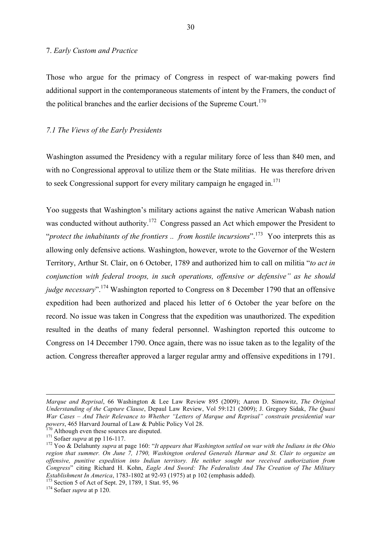#### 7. *Early Custom and Practice*

Those who argue for the primacy of Congress in respect of war-making powers find additional support in the contemporaneous statements of intent by the Framers, the conduct of the political branches and the earlier decisions of the Supreme Court.<sup>170</sup>

# *7.1 The Views of the Early Presidents*

Washington assumed the Presidency with a regular military force of less than 840 men, and with no Congressional approval to utilize them or the State militias. He was therefore driven to seek Congressional support for every military campaign he engaged in.<sup>171</sup>

Yoo suggests that Washington's military actions against the native American Wabash nation was conducted without authority.<sup>172</sup> Congress passed an Act which empower the President to "*protect the inhabitants of the frontiers .. from hostile incursions*".<sup>173</sup> Yoo interprets this as allowing only defensive actions. Washington, however, wrote to the Governor of the Western Territory, Arthur St. Clair, on 6 October, 1789 and authorized him to call on militia "*to act in conjunction with federal troops, in such operations, offensive or defensive" as he should judge necessary*". <sup>174</sup> Washington reported to Congress on 8 December 1790 that an offensive expedition had been authorized and placed his letter of 6 October the year before on the record. No issue was taken in Congress that the expedition was unauthorized. The expedition resulted in the deaths of many federal personnel. Washington reported this outcome to Congress on 14 December 1790. Once again, there was no issue taken as to the legality of the action. Congress thereafter approved a larger regular army and offensive expeditions in 1791.

 $\overline{a}$ 

*Marque and Reprisal*, 66 Washington & Lee Law Review 895 (2009); Aaron D. Simowitz, *The Original Understanding of the Capture Clause*, Depaul Law Review, Vol 59:121 (2009); J. Gregory Sidak, *The Quasi War Cases – And Their Relevance to Whether "Letters of Marque and Reprisal" constrain presidential war*  powers, 465 Harvard Journal of Law & Public Policy Vol 28.<br>
<sup>170</sup> Although even these sources are disputed.<br>
<sup>171</sup> Sofaer *supra* at pp 116-117.<br>
<sup>172</sup> Yoo & Delahunty *supra* at page 160: "*It appears that Washington set* 

*region that summer. On June 7, 1790, Washington ordered Generals Harmar and St. Clair to organize an offensive, punitive expedition into Indian territory. He neither sought nor received authorization from Congress*" citing Richard H. Kohn, *Eagle And Sword: The Federalists And The Creation of The Military Establishment In America*, 1783-1802 at 92-93 (1975) at p 102 (emphasis added).<br><sup>173</sup> Section 5 of Act of Sept. 29, 1789, 1 Stat. 95, 96 <sup>174</sup> Sofaer *supra* at p 120.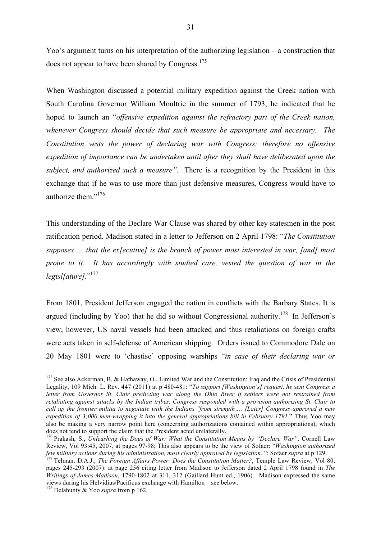Yoo's argument turns on his interpretation of the authorizing legislation – a construction that does not appear to have been shared by Congress.<sup>175</sup>

When Washington discussed a potential military expedition against the Creek nation with South Carolina Governor William Moultrie in the summer of 1793, he indicated that he hoped to launch an "*offensive expedition against the refractory part of the Creek nation, whenever Congress should decide that such measure be appropriate and necessary. The Constitution vests the power of declaring war with Congress; therefore no offensive expedition of importance can be undertaken until after they shall have deliberated upon the subject, and authorized such a measure".* There is a recognition by the President in this exchange that if he was to use more than just defensive measures, Congress would have to authorize them."176

This understanding of the Declare War Clause was shared by other key statesmen in the post ratification period. Madison stated in a letter to Jefferson on 2 April 1798: "*The Constitution supposes … that the ex[ecutive] is the branch of power most interested in war, [and] most prone to it. It has accordingly with studied care, vested the question of war in the* legisl[ature]."<sup>177</sup>

From 1801, President Jefferson engaged the nation in conflicts with the Barbary States. It is argued (including by Yoo) that he did so without Congressional authority.<sup>178</sup> In Jefferson's view, however, US naval vessels had been attacked and thus retaliations on foreign crafts were acts taken in self-defense of American shipping. Orders issued to Commodore Dale on 20 May 1801 were to 'chastise' opposing warships "*in case of their declaring war or* 

<sup>&</sup>lt;sup>175</sup> See also Ackerman, B. & Hathaway, O., Limited War and the Constitution: Iraq and the Crisis of Presidential Legality, 109 Mich. L. Rev. 447 (2011) at p 480-481: "*To support [Washington's] request, he sent Congress a letter from Governor St. Clair predicting war along the Ohio River if settlers were not restrained from retaliating against attacks by the Indian tribes. Congress responded with a provision authorizing St. Clair to call up the frontier militia to negotiate with the Indians "from strength…. [Later] Congress approved a new expedition of 3;000 men-wrapping it into the general appropriations bill in February 1791.*" Thus Yoo may also be making a very narrow point here (concerning authorizations contained within appropriations), which does not tend to support the claim that the President acted unilaterally.

<sup>176</sup> Prakash, S., *Unleashing the Dogs of War: What the Constitution Means by "Declare War"*, Cornell Law Review, Vol 93:45, 2007, at pages 97-98; This also appears to be the view of Sofaer: "*Washington authorized*  few military actions during his administration, most clearly approved by legislation..": Sofaer supra at p 129.<br><sup>177</sup> Telman, D.A.J., *The Foreign Affairs Power: Does the Constitution Matter?*, Temple Law Review, Vol 80,

pages 245-293 (2007): at page 256 citing letter from Madison to Jefferson dated 2 April 1798 found in *The Writings of James Madison*, 1790-1802 at 311, 312 (Gaillard Hunt ed., 1906). Madison expressed the same views during his Helvidius/Pacificus exchange with Hamilton – see below. <sup>178</sup> Delahunty & Yoo *supra* from p 162.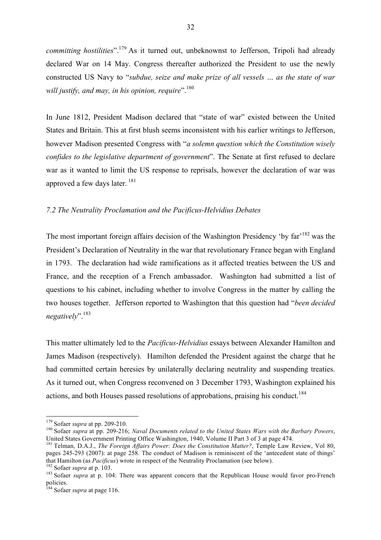*committing hostilities*".<sup>179</sup> As it turned out, unbeknownst to Jefferson, Tripoli had already declared War on 14 May. Congress thereafter authorized the President to use the newly constructed US Navy to "*subdue, seize and make prize of all vessels … as the state of war will justify, and may, in his opinion, require*".180

In June 1812, President Madison declared that "state of war" existed between the United States and Britain. This at first blush seems inconsistent with his earlier writings to Jefferson, however Madison presented Congress with "*a solemn question which the Constitution wisely confides to the legislative department of government*". The Senate at first refused to declare war as it wanted to limit the US response to reprisals, however the declaration of war was approved a few days later. <sup>181</sup>

# *7.2 The Neutrality Proclamation and the Pacificus-Helvidius Debates*

The most important foreign affairs decision of the Washington Presidency 'by far'<sup>182</sup> was the President's Declaration of Neutrality in the war that revolutionary France began with England in 1793. The declaration had wide ramifications as it affected treaties between the US and France, and the reception of a French ambassador. Washington had submitted a list of questions to his cabinet, including whether to involve Congress in the matter by calling the two houses together. Jefferson reported to Washington that this question had "*been decided negatively*".183

This matter ultimately led to the *Pacificus-Helvidius* essays between Alexander Hamilton and James Madison (respectively). Hamilton defended the President against the charge that he had committed certain heresies by unilaterally declaring neutrality and suspending treaties. As it turned out, when Congress reconvened on 3 December 1793, Washington explained his actions, and both Houses passed resolutions of approbations, praising his conduct.<sup>184</sup>

<sup>&</sup>lt;sup>179</sup> Sofaer *supra* at pp. 209-210.<br><sup>180</sup> Sofaer *supra* at pp. 209-216; *Naval Documents related to the United States Wars with the Barbary Powers*, United States Government Printing Office Washington, 1940, Volume II Part 3 of 3 at page 474.

<sup>181</sup> Telman, D.A.J., *The Foreign Affairs Power: Does the Constitution Matter?*, Temple Law Review, Vol 80, pages 245-293 (2007): at page 258. The conduct of Madison is reminiscent of the 'antecedent state of things' that Hamilton (as *Pacificus*) wrote in respect of the Neutrality Proclamation (see below).

<sup>&</sup>lt;sup>182</sup> Sofaer *supra* at p. 103.<br><sup>183</sup> Sofaer *supra* at p. 104: There was apparent concern that the Republican House would favor pro-French policies.

<sup>184</sup> Sofaer *supra* at page 116.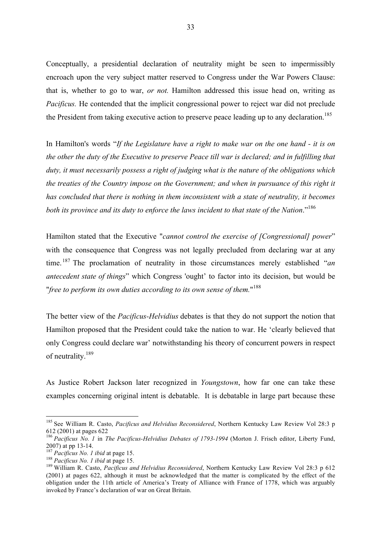Conceptually, a presidential declaration of neutrality might be seen to impermissibly encroach upon the very subject matter reserved to Congress under the War Powers Clause: that is, whether to go to war, *or not.* Hamilton addressed this issue head on, writing as *Pacificus.* He contended that the implicit congressional power to reject war did not preclude the President from taking executive action to preserve peace leading up to any declaration.<sup>185</sup>

In Hamilton's words "*If the Legislature have a right to make war on the one hand - it is on the other the duty of the Executive to preserve Peace till war is declared; and in fulfilling that duty, it must necessarily possess a right of judging what is the nature of the obligations which the treaties of the Country impose on the Government; and when in pursuance of this right it has concluded that there is nothing in them inconsistent with a state of neutrality, it becomes both its province and its duty to enforce the laws incident to that state of the Nation*." 186

Hamilton stated that the Executive "*cannot control the exercise of [Congressional] power*" with the consequence that Congress was not legally precluded from declaring war at any time. <sup>187</sup> The proclamation of neutrality in those circumstances merely established "*an antecedent state of things*" which Congress 'ought' to factor into its decision, but would be "*free to perform its own duties according to its own sense of them.*" 188

The better view of the *Pacificus-Helvidius* debates is that they do not support the notion that Hamilton proposed that the President could take the nation to war. He 'clearly believed that only Congress could declare war' notwithstanding his theory of concurrent powers in respect of neutrality.<sup>189</sup>

As Justice Robert Jackson later recognized in *Youngstown*, how far one can take these examples concerning original intent is debatable. It is debatable in large part because these

 <sup>185</sup> See William R. Casto, *Pacificus and Helvidius Reconsidered*, Northern Kentucky Law Review Vol 28:3 p 612 (2001) at pages 622

<sup>186</sup> *Pacificus No. 1* in *The Pacificus-Helvidius Debates of 1793-1994* (Morton J. Frisch editor, Liberty Fund, 2007) at pp 13-14.<br>
<sup>187</sup> *Pacificus No. 1 ibid* at page 15.<br>
<sup>188</sup> *Pacificus No. 1 ibid* at page 15.<br>
<sup>188</sup> William R. Casto, *Pacificus and Helvidius Reconsidered*, Northern Kentucky Law Review Vol 28:3 p 612

<sup>(2001)</sup> at pages 622, although it must be acknowledged that the matter is complicated by the effect of the obligation under the 11th article of America's Treaty of Alliance with France of 1778, which was arguably invoked by France's declaration of war on Great Britain.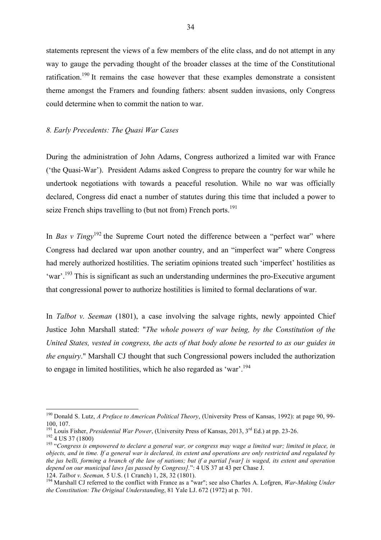statements represent the views of a few members of the elite class, and do not attempt in any way to gauge the pervading thought of the broader classes at the time of the Constitutional ratification.<sup>190</sup> It remains the case however that these examples demonstrate a consistent theme amongst the Framers and founding fathers: absent sudden invasions, only Congress could determine when to commit the nation to war.

# *8. Early Precedents: The Quasi War Cases*

During the administration of John Adams, Congress authorized a limited war with France ('the Quasi-War'). President Adams asked Congress to prepare the country for war while he undertook negotiations with towards a peaceful resolution. While no war was officially declared, Congress did enact a number of statutes during this time that included a power to seize French ships travelling to (but not from) French ports.<sup>191</sup>

In *Bas v Tingy*<sup>192</sup> the Supreme Court noted the difference between a "perfect war" where Congress had declared war upon another country, and an "imperfect war" where Congress had merely authorized hostilities. The seriatim opinions treated such 'imperfect' hostilities as 'war'.<sup>193</sup> This is significant as such an understanding undermines the pro-Executive argument that congressional power to authorize hostilities is limited to formal declarations of war.

In *Talbot v. Seeman* (1801), a case involving the salvage rights, newly appointed Chief Justice John Marshall stated: "*The whole powers of war being, by the Constitution of the United States, vested in congress, the acts of that body alone be resorted to as our guides in the enquiry*." Marshall CJ thought that such Congressional powers included the authorization to engage in limited hostilities, which he also regarded as 'war'.<sup>194</sup>

 <sup>190</sup> Donald S. Lutz, *A Preface to American Political Theory*, (University Press of Kansas, 1992): at page 90, 99- 100, 107.<br><sup>191</sup> Louis Fisher, *Presidential War Power*, (University Press of Kansas, 2013, 3<sup>rd</sup> Ed.) at pp. 23-26.

 $\frac{192}{192}$  4 US 37 (1800)<br><sup>193</sup> "Congress is empowered to declare a general war, or congress may wage a limited war; limited in place, in

*objects, and in time. If a general war is declared, its extent and operations are only restricted and regulated by the jus belli, forming a branch of the law of nations; but if a partial [war] is waged, its extent and operation depend on our municipal laws [as passed by Congress].*": 4 US 37 at 43 per Chase J.<br>124. Talbot v. Seeman, 5 U.S. (1 Cranch) 1, 28, 32 (1801).

<sup>&</sup>lt;sup>194</sup> Marshall CJ referred to the conflict with France as a "war"; see also Charles A. Lofgren, *War-Making Under the Constitution: The Original Understanding*, 81 Yale LJ. 672 (1972) at p. 701.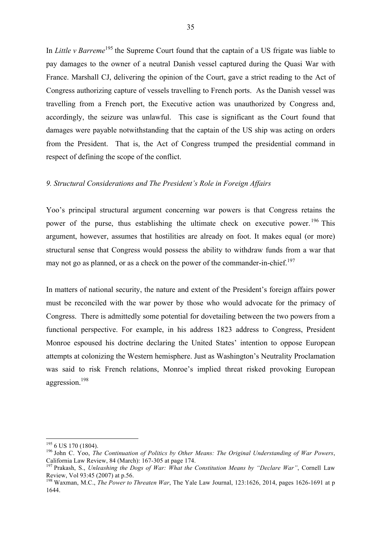In *Little v Barreme*<sup>195</sup> the Supreme Court found that the captain of a US frigate was liable to pay damages to the owner of a neutral Danish vessel captured during the Quasi War with France. Marshall CJ, delivering the opinion of the Court, gave a strict reading to the Act of Congress authorizing capture of vessels travelling to French ports. As the Danish vessel was travelling from a French port, the Executive action was unauthorized by Congress and, accordingly, the seizure was unlawful. This case is significant as the Court found that damages were payable notwithstanding that the captain of the US ship was acting on orders from the President. That is, the Act of Congress trumped the presidential command in respect of defining the scope of the conflict.

# *9. Structural Considerations and The President's Role in Foreign Affairs*

Yoo's principal structural argument concerning war powers is that Congress retains the power of the purse, thus establishing the ultimate check on executive power.<sup>196</sup> This argument, however, assumes that hostilities are already on foot. It makes equal (or more) structural sense that Congress would possess the ability to withdraw funds from a war that may not go as planned, or as a check on the power of the commander-in-chief.<sup>197</sup>

In matters of national security, the nature and extent of the President's foreign affairs power must be reconciled with the war power by those who would advocate for the primacy of Congress. There is admittedly some potential for dovetailing between the two powers from a functional perspective. For example, in his address 1823 address to Congress, President Monroe espoused his doctrine declaring the United States' intention to oppose European attempts at colonizing the Western hemisphere. Just as Washington's Neutrality Proclamation was said to risk French relations, Monroe's implied threat risked provoking European aggression.198

<sup>&</sup>lt;sup>195</sup> 6 US 170 (1804).<br><sup>196</sup> John C. Yoo, *The Continuation of Politics by Other Means: The Original Understanding of War Powers*,<br>California Law Review, 84 (March): 167-305 at page 174.

<sup>&</sup>lt;sup>197</sup> Prakash, S., *Unleashing the Dogs of War: What the Constitution Means by "Declare War"*, Cornell Law Review, Vol 93:45 (2007) at p.56.

<sup>&</sup>lt;sup>198</sup> Waxman, M.C., *The Power to Threaten War*, The Yale Law Journal, 123:1626, 2014, pages 1626-1691 at p 1644.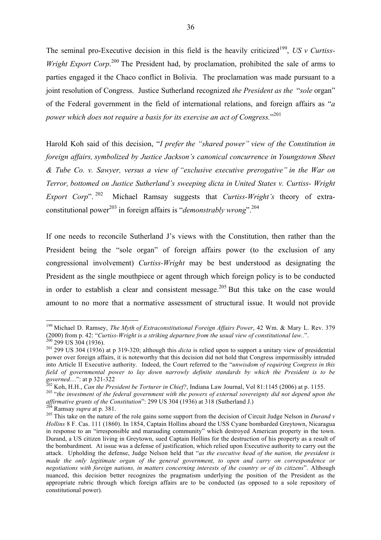The seminal pro-Executive decision in this field is the heavily criticized<sup>199</sup>, *US v Curtiss-Wright Export Corp*.<sup>200</sup> The President had, by proclamation, prohibited the sale of arms to parties engaged it the Chaco conflict in Bolivia. The proclamation was made pursuant to a joint resolution of Congress. Justice Sutherland recognized *the President as the* "*sole* organ" of the Federal government in the field of international relations, and foreign affairs as "*a power which does not require a basis for its exercise an act of Congress.*" 201

Harold Koh said of this decision, "*I prefer the "shared power" view of the Constitution in foreign affairs, symbolized by Justice Jackson's canonical concurrence in Youngstown Sheet & Tube Co. v. Sawyer, versus a view of "exclusive executive prerogative" in the War on Terror, bottomed on Justice Sutherland's sweeping dicta in United States v. Curtiss- Wright Export Corp*". 202 Michael Ramsay suggests that *Curtiss-Wright's* theory of extraconstitutional power<sup>203</sup> in foreign affairs is "*demonstrably wrong*".<sup>204</sup>

If one needs to reconcile Sutherland J's views with the Constitution, then rather than the President being the "sole organ" of foreign affairs power (to the exclusion of any congressional involvement) *Curtiss-Wright* may be best understood as designating the President as the single mouthpiece or agent through which foreign policy is to be conducted in order to establish a clear and consistent message.<sup>205</sup> But this take on the case would amount to no more that a normative assessment of structural issue. It would not provide

 <sup>199</sup> Michael D. Ramsey, *The Myth of Extraconstitutional Foreign Affairs Power*, 42 Wm. & Mary L. Rev. 379 (2000) from p. 42: "Curtiss-Wright is a striking departure from the usual view of constitutional law..".<br><sup>200</sup> 299 US 304 (1936).<br><sup>201</sup> 299 US 304 (1936) at p 319-320; although this *dicta* is relied upon to support a uni

power over foreign affairs, it is noteworthy that this decision did not hold that Congress impermissibly intruded into Article II Executive authority. Indeed, the Court referred to the "*unwisdom of requiring Congress in this field of governmental power to lay down narrowly definite standards by which the President is to be* 

governed...": at p 321-322<br>
<sup>202</sup> Koh, H.H., *Can the President be Torturer in Chief?*, Indiana Law Journal, Vol 81:1145 (2006) at p. 1155.<br>
<sup>202</sup> Koh, H.H., *Can the President be Torturer in Chief?*, Indiana Law Journal,

<sup>&</sup>lt;sup>204</sup> Ramsay *supra* at p. 381.<br><sup>205</sup> This take on the nature of the role gains some support from the decision of Circuit Judge Nelson in *Durand v Hollins* 8 F. Cas. 111 (1860). In 1854, Captain Hollins aboard the USS Cyane bombarded Greytown, Nicaragua in response to an "irresponsible and marauding community" which destroyed American property in the town. Durand, a US citizen living in Greytown, sued Captain Hollins for the destruction of his property as a result of the bombardment. At issue was a defense of justification, which relied upon Executive authority to carry out the attack. Upholding the defense, Judge Nelson held that "*as the executive head of the nation, the president is made the only legitimate organ of the general government, to open and carry on correspondence or negotiations with foreign nations, in matters concerning interests of the country or of its citizens*". Although nuanced, this decision better recognizes the pragmatism underlying the position of the President as the appropriate rubric through which foreign affairs are to be conducted (as opposed to a sole repository of constitutional power).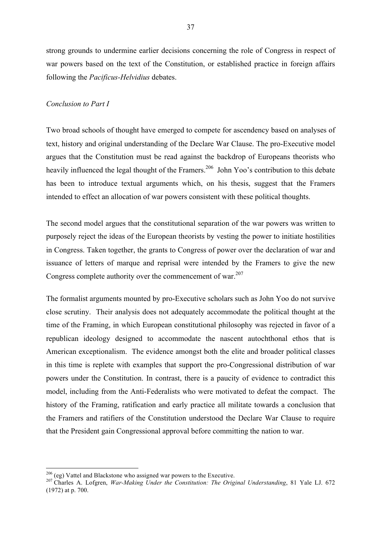strong grounds to undermine earlier decisions concerning the role of Congress in respect of war powers based on the text of the Constitution, or established practice in foreign affairs following the *Pacificus-Helvidius* debates.

# *Conclusion to Part I*

Two broad schools of thought have emerged to compete for ascendency based on analyses of text, history and original understanding of the Declare War Clause. The pro-Executive model argues that the Constitution must be read against the backdrop of Europeans theorists who heavily influenced the legal thought of the Framers.<sup>206</sup> John Yoo's contribution to this debate has been to introduce textual arguments which, on his thesis, suggest that the Framers intended to effect an allocation of war powers consistent with these political thoughts.

The second model argues that the constitutional separation of the war powers was written to purposely reject the ideas of the European theorists by vesting the power to initiate hostilities in Congress. Taken together, the grants to Congress of power over the declaration of war and issuance of letters of marque and reprisal were intended by the Framers to give the new Congress complete authority over the commencement of war. $207$ 

The formalist arguments mounted by pro-Executive scholars such as John Yoo do not survive close scrutiny. Their analysis does not adequately accommodate the political thought at the time of the Framing, in which European constitutional philosophy was rejected in favor of a republican ideology designed to accommodate the nascent autochthonal ethos that is American exceptionalism. The evidence amongst both the elite and broader political classes in this time is replete with examples that support the pro-Congressional distribution of war powers under the Constitution. In contrast, there is a paucity of evidence to contradict this model, including from the Anti-Federalists who were motivated to defeat the compact. The history of the Framing, ratification and early practice all militate towards a conclusion that the Framers and ratifiers of the Constitution understood the Declare War Clause to require that the President gain Congressional approval before committing the nation to war.

<sup>&</sup>lt;sup>206</sup> (eg) Vattel and Blackstone who assigned war powers to the Executive.<br><sup>207</sup> Charles A. Lofgren, *War-Making Under the Constitution: The Original Understanding*, 81 Yale LJ. 672 (1972) at p. 700.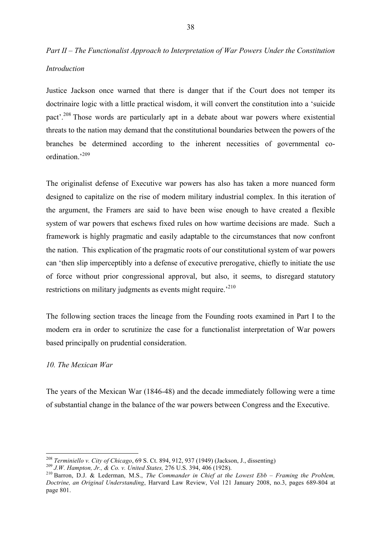# *Part II – The Functionalist Approach to Interpretation of War Powers Under the Constitution Introduction*

Justice Jackson once warned that there is danger that if the Court does not temper its doctrinaire logic with a little practical wisdom, it will convert the constitution into a 'suicide pact<sup>'</sup>.<sup>208</sup> Those words are particularly apt in a debate about war powers where existential threats to the nation may demand that the constitutional boundaries between the powers of the branches be determined according to the inherent necessities of governmental coordination.' 209

The originalist defense of Executive war powers has also has taken a more nuanced form designed to capitalize on the rise of modern military industrial complex. In this iteration of the argument, the Framers are said to have been wise enough to have created a flexible system of war powers that eschews fixed rules on how wartime decisions are made. Such a framework is highly pragmatic and easily adaptable to the circumstances that now confront the nation. This explication of the pragmatic roots of our constitutional system of war powers can 'then slip imperceptibly into a defense of executive prerogative, chiefly to initiate the use of force without prior congressional approval, but also, it seems, to disregard statutory restrictions on military judgments as events might require.<sup>210</sup>

The following section traces the lineage from the Founding roots examined in Part I to the modern era in order to scrutinize the case for a functionalist interpretation of War powers based principally on prudential consideration.

# *10. The Mexican War*

The years of the Mexican War (1846-48) and the decade immediately following were a time of substantial change in the balance of the war powers between Congress and the Executive.

<sup>&</sup>lt;sup>208</sup> Terminiello v. City of Chicago, 69 S. Ct. 894, 912, 937 (1949) (Jackson, J., dissenting)<br><sup>209</sup> J.W. Hampton, Jr., & Co. v. United States, 276 U.S. 394, 406 (1928).<br><sup>210</sup> Barron, D.J. & Lederman, M.S., *The Commander Doctrine, an Original Understanding*, Harvard Law Review, Vol 121 January 2008, no.3, pages 689-804 at page 801.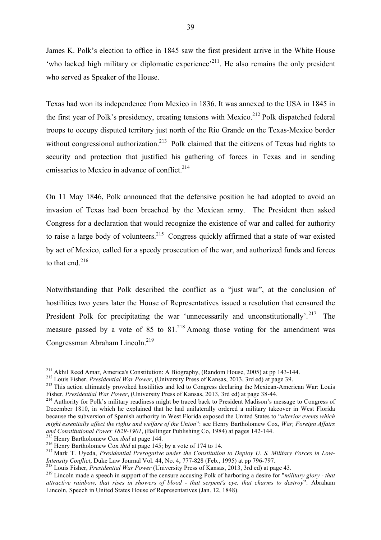James K. Polk's election to office in 1845 saw the first president arrive in the White House 'who lacked high military or diplomatic experience'<sup>211</sup>. He also remains the only president who served as Speaker of the House.

Texas had won its independence from Mexico in 1836. It was annexed to the USA in 1845 in the first year of Polk's presidency, creating tensions with Mexico.<sup>212</sup> Polk dispatched federal troops to occupy disputed territory just north of the Rio Grande on the Texas-Mexico border without congressional authorization.<sup>213</sup> Polk claimed that the citizens of Texas had rights to security and protection that justified his gathering of forces in Texas and in sending emissaries to Mexico in advance of conflict.<sup>214</sup>

On 11 May 1846, Polk announced that the defensive position he had adopted to avoid an invasion of Texas had been breached by the Mexican army. The President then asked Congress for a declaration that would recognize the existence of war and called for authority to raise a large body of volunteers.<sup>215</sup> Congress quickly affirmed that a state of war existed by act of Mexico, called for a speedy prosecution of the war, and authorized funds and forces to that end  $^{216}$ 

Notwithstanding that Polk described the conflict as a "just war", at the conclusion of hostilities two years later the House of Representatives issued a resolution that censured the President Polk for precipitating the war 'unnecessarily and unconstitutionally'.<sup>217</sup> The measure passed by a vote of 85 to  $81<sup>218</sup>$  Among those voting for the amendment was Congressman Abraham Lincoln.<sup>219</sup>

<sup>&</sup>lt;sup>211</sup> Akhil Reed Amar, America's Constitution: A Biography, (Random House, 2005) at pp 143-144.<br><sup>212</sup> Louis Fisher, *Presidential War Power*, (University Press of Kansas, 2013, 3rd ed) at page 39.<br><sup>213</sup> This action ultima

Fisher, *Presidential War Power*, (University Press of Kansas, 2013, 3rd ed) at page 38-44.<br><sup>214</sup> Authority for Polk's military readiness might be traced back to President Madison's message to Congress of December 1810, in which he explained that he had unilaterally ordered a military takeover in West Florida because the subversion of Spanish authority in West Florida exposed the United States to "*ulterior events which might essentially affect the rights and welfare of the Union*": see Henry Bartholomew Cox, *War, Foreign Affairs* 

<sup>&</sup>lt;sup>215</sup> Henry Bartholomew Cox *ibid* at page 144.<br><sup>216</sup> Henry Bartholomew Cox *ibid* at page 145; by a vote of 174 to 14.<br><sup>217</sup> Mark T. Uyeda, *Presidential Prerogative under the Constitution to Deploy U. S. Military Forces* 

<sup>&</sup>lt;sup>218</sup> Louis Fisher, *Presidential War Power* (University Press of Kansas, 2013, 3rd ed) at page 43.<br><sup>219</sup> Lincoln made a speech in support of the censure accusing Polk of harboring a desire for "*military glory - that attractive rainbow, that rises in showers of blood - that serpent's eye, that charms to destroy*": Abraham Lincoln, Speech in United States House of Representatives (Jan. 12, 1848).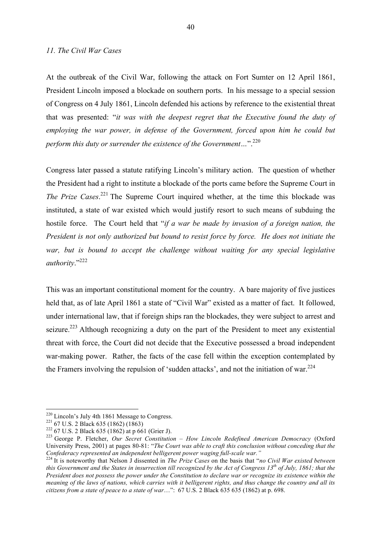#### *11. The Civil War Cases*

At the outbreak of the Civil War, following the attack on Fort Sumter on 12 April 1861, President Lincoln imposed a blockade on southern ports. In his message to a special session of Congress on 4 July 1861, Lincoln defended his actions by reference to the existential threat that was presented: "*it was with the deepest regret that the Executive found the duty of employing the war power, in defense of the Government, forced upon him he could but perform this duty or surrender the existence of the Government…*".220

Congress later passed a statute ratifying Lincoln's military action. The question of whether the President had a right to institute a blockade of the ports came before the Supreme Court in The Prize Cases.<sup>221</sup> The Supreme Court inquired whether, at the time this blockade was instituted, a state of war existed which would justify resort to such means of subduing the hostile force. The Court held that "*if a war be made by invasion of a foreign nation, the President is not only authorized but bound to resist force by force. He does not initiate the war, but is bound to accept the challenge without waiting for any special legislative authority*."222

This was an important constitutional moment for the country. A bare majority of five justices held that, as of late April 1861 a state of "Civil War" existed as a matter of fact. It followed, under international law, that if foreign ships ran the blockades, they were subject to arrest and seizure.<sup>223</sup> Although recognizing a duty on the part of the President to meet any existential threat with force, the Court did not decide that the Executive possessed a broad independent war-making power. Rather, the facts of the case fell within the exception contemplated by the Framers involving the repulsion of 'sudden attacks', and not the initiation of war.<sup>224</sup>

<sup>&</sup>lt;sup>220</sup> Lincoln's July 4th 1861 Message to Congress.<br><sup>221</sup> 67 U.S. 2 Black 635 (1862) (1863)<br><sup>222</sup> 67 U.S. 2 Black 635 (1862) at p 661 (Grier J).<br><sup>223</sup> George P. Fletcher, *Our Secret Constitution – How Lincoln Redefined Am* University Press, 2001) at pages 80-81: "*The Court was able to craft this conclusion without conceding that the*<br>Confederacy represented an independent belligerent power waging full-scale war."

*Confederacy represented an independent belligerent power waging full-scale war."* <sup>224</sup> It is noteworthy that Nelson J dissented in *The Prize Cases* on the basis that "*no Civil War existed between this Government and the States in insurrection till recognized by the Act of Congress 13th of July, 1861; that the President does not possess the power under the Constitution to declare war or recognize its existence within the meaning of the laws of nations, which carries with it belligerent rights, and thus change the country and all its citizens from a state of peace to a state of war*…": 67 U.S. 2 Black 635 635 (1862) at p. 698.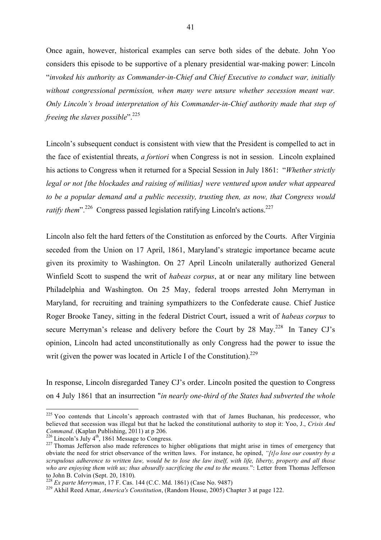Once again, however, historical examples can serve both sides of the debate. John Yoo considers this episode to be supportive of a plenary presidential war-making power: Lincoln "*invoked his authority as Commander-in-Chief and Chief Executive to conduct war, initially without congressional permission, when many were unsure whether secession meant war. Only Lincoln's broad interpretation of his Commander-in-Chief authority made that step of freeing the slaves possible*".<sup>225</sup>

Lincoln's subsequent conduct is consistent with view that the President is compelled to act in the face of existential threats, *a fortiori* when Congress is not in session. Lincoln explained his actions to Congress when it returned for a Special Session in July 1861: "*Whether strictly legal or not [the blockades and raising of militias] were ventured upon under what appeared to be a popular demand and a public necessity, trusting then, as now, that Congress would ratify them*".<sup>226</sup> Congress passed legislation ratifying Lincoln's actions.<sup>227</sup>

Lincoln also felt the hard fetters of the Constitution as enforced by the Courts. After Virginia seceded from the Union on 17 April, 1861, Maryland's strategic importance became acute given its proximity to Washington. On 27 April Lincoln unilaterally authorized General Winfield Scott to suspend the writ of *habeas corpus*, at or near any military line between Philadelphia and Washington. On 25 May, federal troops arrested John Merryman in Maryland, for recruiting and training sympathizers to the Confederate cause. Chief Justice Roger Brooke Taney, sitting in the federal District Court, issued a writ of *habeas corpus* to secure Merryman's release and delivery before the Court by 28 May.<sup>228</sup> In Taney CJ's opinion, Lincoln had acted unconstitutionally as only Congress had the power to issue the writ (given the power was located in Article I of the Constitution).<sup>229</sup>

In response, Lincoln disregarded Taney CJ's order. Lincoln posited the question to Congress on 4 July 1861 that an insurrection "*in nearly one-third of the States had subverted the whole* 

<sup>&</sup>lt;sup>225</sup> Yoo contends that Lincoln's approach contrasted with that of James Buchanan, his predecessor, who believed that secession was illegal but that he lacked the constitutional authority to stop it: Yoo, J., *Crisis And Command.* (Kaplan Publishing, 2011) at p 206.<br><sup>226</sup> Lincoln's July 4<sup>th</sup>, 1861 Message to Congress.

<sup>&</sup>lt;sup>227</sup> Thomas Jefferson also made references to higher obligations that might arise in times of emergency that obviate the need for strict observance of the written laws. For instance, he opined, *"[t]o lose our country by a scrupulous adherence to written law, would be to lose the law itself, with life, liberty, property and all those who are enjoying them with us; thus absurdly sacrificing the end to the means.*": Letter from Thomas Jefferson to John B. Colvin (Sept. 20, 1810).<br><sup>228</sup> *Ex parte Merryman*, 17 F. Cas. 144 (C.C. Md. 1861) (Case No. 9487)<br><sup>229</sup> Akhil Reed Amar, *America's Constitution*, (Random House, 2005) Chapter 3 at page 122.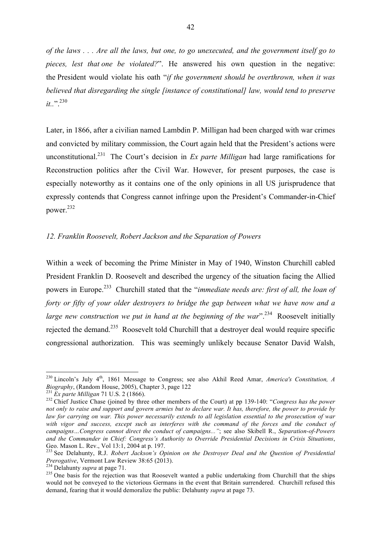*of the laws . . . Are all the laws, but one, to go unexecuted, and the government itself go to pieces, lest that one be violated?*". He answered his own question in the negative: the President would violate his oath "*if the government should be overthrown, when it was believed that disregarding the single [instance of constitutional] law, would tend to preserve it..*".<sup>230</sup>

Later, in 1866, after a civilian named Lambdin P. Milligan had been charged with war crimes and convicted by military commission, the Court again held that the President's actions were unconstitutional.<sup>231</sup> The Court's decision in *Ex parte Milligan* had large ramifications for Reconstruction politics after the Civil War. However, for present purposes, the case is especially noteworthy as it contains one of the only opinions in all US jurisprudence that expressly contends that Congress cannot infringe upon the President's Commander-in-Chief power.232

# *12. Franklin Roosevelt, Robert Jackson and the Separation of Powers*

Within a week of becoming the Prime Minister in May of 1940, Winston Churchill cabled President Franklin D. Roosevelt and described the urgency of the situation facing the Allied powers in Europe.233 Churchill stated that the "*immediate needs are: first of all, the loan of forty or fifty of your older destroyers to bridge the gap between what we have now and a large new construction we put in hand at the beginning of the war*<sup>".234</sup> Roosevelt initially rejected the demand.<sup>235</sup> Roosevelt told Churchill that a destroyer deal would require specific congressional authorization. This was seemingly unlikely because Senator David Walsh,

<sup>&</sup>lt;sup>230</sup> Lincoln's July 4<sup>th</sup>, 1861 Message to Congress; see also Akhil Reed Amar, *America's Constitution, A Biography*, (Random House, 2005), Chapter 3, page 122<br><sup>231</sup> *Ex parte Milligan* 71 U.S. 2 (1866).

<sup>&</sup>lt;sup>232</sup> Chief Justice Chase (joined by three other members of the Court) at pp 139-140: "*Congress has the power not only to raise and support and govern armies but to declare war. It has, therefore, the power to provide by law for carrying on war. This power necessarily extends to all legislation essential to the prosecution of war with vigor and success, except such as interferes with the command of the forces and the conduct of campaigns…Congress cannot direct the conduct of campaigns..."*; see also Skibell R., *Separation-of-Powers and the Commander in Chief: Congress's Authority to Override Presidential Decisions in Crisis Situations*,

<sup>&</sup>lt;sup>233</sup> See Delahunty, R.J. *Robert Jackson's Opinion on the Destroyer Deal and the Question of Presidential Prerogative, Vermont Law Review 38:65 (2013).* 

<sup>&</sup>lt;sup>234</sup> Delahunty *supra* at page 71.<br><sup>235</sup> One basis for the rejection was that Roosevelt wanted a public undertaking from Churchill that the ships would not be conveyed to the victorious Germans in the event that Britain surrendered. Churchill refused this demand, fearing that it would demoralize the public: Delahunty *supra* at page 73.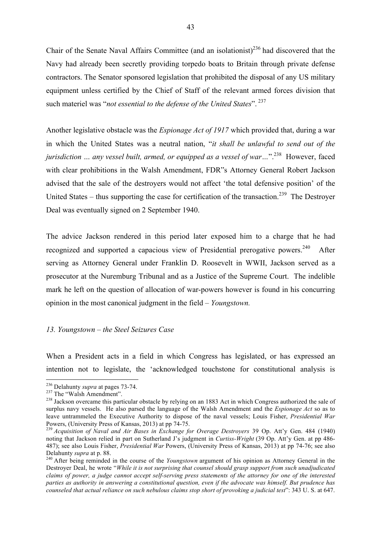Chair of the Senate Naval Affairs Committee (and an isolationist)<sup>236</sup> had discovered that the Navy had already been secretly providing torpedo boats to Britain through private defense contractors. The Senator sponsored legislation that prohibited the disposal of any US military equipment unless certified by the Chief of Staff of the relevant armed forces division that such materiel was "*not essential to the defense of the United States*". 237

Another legislative obstacle was the *Espionage Act of 1917* which provided that, during a war in which the United States was a neutral nation, "*it shall be unlawful to send out of the jurisdiction … any vessel built, armed, or equipped as a vessel of war…*".238 However, faced with clear prohibitions in the Walsh Amendment, FDR"s Attorney General Robert Jackson advised that the sale of the destroyers would not affect 'the total defensive position' of the United States – thus supporting the case for certification of the transaction.<sup>239</sup> The Destroyer Deal was eventually signed on 2 September 1940.

The advice Jackson rendered in this period later exposed him to a charge that he had recognized and supported a capacious view of Presidential prerogative powers.<sup>240</sup> After serving as Attorney General under Franklin D. Roosevelt in WWII, Jackson served as a prosecutor at the Nuremburg Tribunal and as a Justice of the Supreme Court. The indelible mark he left on the question of allocation of war-powers however is found in his concurring opinion in the most canonical judgment in the field – *Youngstown.*

## *13. Youngstown – the Steel Seizures Case*

When a President acts in a field in which Congress has legislated, or has expressed an intention not to legislate, the 'acknowledged touchstone for constitutional analysis is

<sup>&</sup>lt;sup>236</sup> Delahunty *supra* at pages 73-74.<br><sup>237</sup> The "Walsh Amendment".<br><sup>238</sup> Jackson overcame this particular obstacle by relying on an 1883 Act in which Congress authorized the sale of surplus navy vessels. He also parsed the language of the Walsh Amendment and the *Espionage Act* so as to leave untrammeled the Executive Authority to dispose of the naval vessels; Louis Fisher, *Presidential War*  Powers, (University Press of Kansas, 2013) at pp 74-75.<br><sup>239</sup> *Acquisition of Naval and Air Bases in Exchange for Overage Destroyers* 39 Op. Att'y Gen. 484 (1940)

noting that Jackson relied in part on Sutherland J's judgment in *Curtiss-Wright* (39 Op. Att'y Gen. at pp 486- 487); see also Louis Fisher, *Presidential War* Powers, (University Press of Kansas, 2013) at pp 74-76; see also Delahunty *supra* at p. 88. <sup>240</sup> After being reminded in the course of the *Youngstown* argument of his opinion as Attorney General in the

Destroyer Deal, he wrote "*While it is not surprising that counsel should grasp support from such unadjudicated claims of power, a judge cannot accept self-serving press statements of the attorney for one of the interested parties as authority in answering a constitutional question, even if the advocate was himself. But prudence has counseled that actual reliance on such nebulous claims stop short of provoking a judicial test*": 343 U. S. at 647.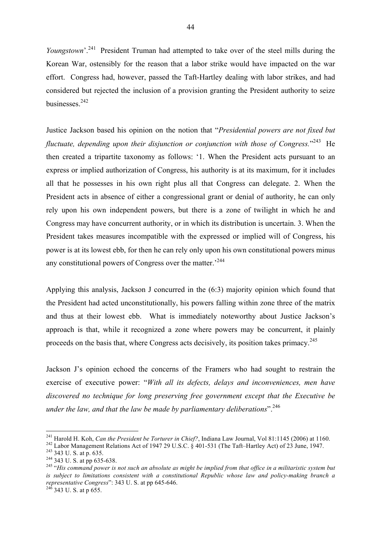*Youngstown*<sup>'.241</sup> President Truman had attempted to take over of the steel mills during the Korean War, ostensibly for the reason that a labor strike would have impacted on the war effort. Congress had, however, passed the Taft-Hartley dealing with labor strikes, and had considered but rejected the inclusion of a provision granting the President authority to seize businesses.<sup>242</sup>

Justice Jackson based his opinion on the notion that "*Presidential powers are not fixed but*  fluctuate, depending upon their disjunction or conjunction with those of Congress."<sup>243</sup> He then created a tripartite taxonomy as follows: '1. When the President acts pursuant to an express or implied authorization of Congress, his authority is at its maximum, for it includes all that he possesses in his own right plus all that Congress can delegate. 2. When the President acts in absence of either a congressional grant or denial of authority, he can only rely upon his own independent powers, but there is a zone of twilight in which he and Congress may have concurrent authority, or in which its distribution is uncertain. 3. When the President takes measures incompatible with the expressed or implied will of Congress, his power is at its lowest ebb, for then he can rely only upon his own constitutional powers minus any constitutional powers of Congress over the matter.<sup>244</sup>

Applying this analysis, Jackson J concurred in the (6:3) majority opinion which found that the President had acted unconstitutionally, his powers falling within zone three of the matrix and thus at their lowest ebb. What is immediately noteworthy about Justice Jackson's approach is that, while it recognized a zone where powers may be concurrent, it plainly proceeds on the basis that, where Congress acts decisively, its position takes primacy.<sup>245</sup>

Jackson J's opinion echoed the concerns of the Framers who had sought to restrain the exercise of executive power: "*With all its defects, delays and inconveniences, men have discovered no technique for long preserving free government except that the Executive be under the law, and that the law be made by parliamentary deliberations*".246

<sup>&</sup>lt;sup>241</sup> Harold H. Koh, *Can the President be Torturer in Chief*?, Indiana Law Journal, Vol 81:1145 (2006) at 1160.<br><sup>242</sup> Labor Management Relations Act of 1947 29 U.S.C. § 401-531 (The Taft–Hartley Act) of 23 June, 1947.<br><sup>2</sup> *is subject to limitations consistent with a constitutional Republic whose law and policy-making branch a representative Congress*": 343 U. S. at pp 645-646. <sup>246</sup> 343 U. S. at p 655.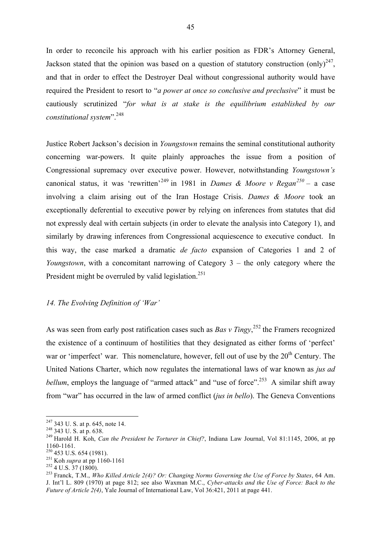In order to reconcile his approach with his earlier position as FDR's Attorney General, Jackson stated that the opinion was based on a question of statutory construction (only)<sup>247</sup>. and that in order to effect the Destroyer Deal without congressional authority would have required the President to resort to "*a power at once so conclusive and preclusive*" it must be cautiously scrutinized "*for what is at stake is the equilibrium established by our constitutional system*".248

Justice Robert Jackson's decision in *Youngstown* remains the seminal constitutional authority concerning war-powers. It quite plainly approaches the issue from a position of Congressional supremacy over executive power. However, notwithstanding *Youngstown's*  canonical status, it was 'rewritten'<sup>249</sup> in 1981 in *Dames & Moore v Regan*<sup>250</sup> – a case involving a claim arising out of the Iran Hostage Crisis. *Dames & Moore* took an exceptionally deferential to executive power by relying on inferences from statutes that did not expressly deal with certain subjects (in order to elevate the analysis into Category 1), and similarly by drawing inferences from Congressional acquiescence to executive conduct. In this way, the case marked a dramatic *de facto* expansion of Categories 1 and 2 of *Youngstown*, with a concomitant narrowing of Category 3 – the only category where the President might be overruled by valid legislation.<sup>251</sup>

# *14. The Evolving Definition of 'War'*

As was seen from early post ratification cases such as *Bas v Tingy*,<sup>252</sup> the Framers recognized the existence of a continuum of hostilities that they designated as either forms of 'perfect' war or 'imperfect' war. This nomenclature, however, fell out of use by the 20<sup>th</sup> Century. The United Nations Charter, which now regulates the international laws of war known as *jus ad bellum*, employs the language of "armed attack" and "use of force".<sup>253</sup> A similar shift away from "war" has occurred in the law of armed conflict (*jus in bello*). The Geneva Conventions

<sup>247</sup> 343 U. S. at p. 645, note 14. <sup>248</sup> 343 U. S. at p. 638. <sup>249</sup> Harold H. Koh, *Can the President be Torturer in Chief?*, Indiana Law Journal, Vol 81:1145, 2006, at pp 1160-1161.<br><sup>250</sup> 453 U.S. 654 (1981).<br><sup>251</sup> Koh *supra* at pp 1160-1161<br><sup>252</sup> 4 U.S. 37 (1800).<br><sup>253</sup> Franck, T.M., *Who Killed Article 2(4)? Or: Changing Norms Governing the Use of Force by States*, 64 Am.

J. Int'l L. 809 (1970) at page 812; see also Waxman M.C., *Cyber-attacks and the Use of Force: Back to the Future of Article 2(4)*, Yale Journal of International Law, Vol 36:421, 2011 at page 441.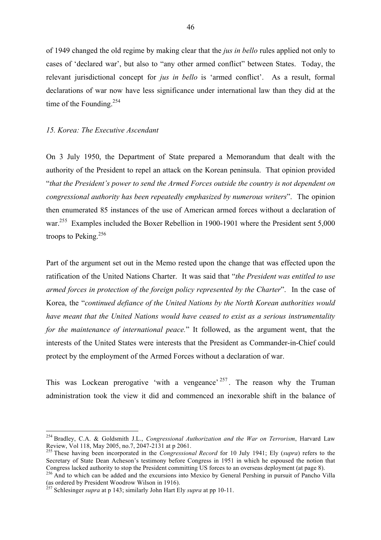of 1949 changed the old regime by making clear that the *jus in bello* rules applied not only to cases of 'declared war', but also to "any other armed conflict" between States. Today, the relevant jurisdictional concept for *jus in bello* is 'armed conflict'. As a result, formal declarations of war now have less significance under international law than they did at the time of the Founding. $254$ 

# *15. Korea: The Executive Ascendant*

On 3 July 1950, the Department of State prepared a Memorandum that dealt with the authority of the President to repel an attack on the Korean peninsula. That opinion provided "*that the President's power to send the Armed Forces outside the country is not dependent on congressional authority has been repeatedly emphasized by numerous writers*". The opinion then enumerated 85 instances of the use of American armed forces without a declaration of war.<sup>255</sup> Examples included the Boxer Rebellion in 1900-1901 where the President sent 5,000 troops to Peking.<sup>256</sup>

Part of the argument set out in the Memo rested upon the change that was effected upon the ratification of the United Nations Charter. It was said that "*the President was entitled to use armed forces in protection of the foreign policy represented by the Charter*". In the case of Korea, the "*continued defiance of the United Nations by the North Korean authorities would have meant that the United Nations would have ceased to exist as a serious instrumentality for the maintenance of international peace.*" It followed, as the argument went, that the interests of the United States were interests that the President as Commander-in-Chief could protect by the employment of the Armed Forces without a declaration of war.

This was Lockean prerogative 'with a vengeance'  $257$ . The reason why the Truman administration took the view it did and commenced an inexorable shift in the balance of

<sup>&</sup>lt;sup>254</sup> Bradley, C.A. & Goldsmith J.L., *Congressional Authorization and the War on Terrorism*, Harvard Law Review, Vol 118, May 2005, no.7, 2047-2131 at p 2061.

<sup>&</sup>lt;sup>255</sup> These having been incorporated in the *Congressional Record* for 10 July 1941; Ely (*supra*) refers to the Secretary of State Dean Acheson's testimony before Congress in 1951 in which he espoused the notion that Congress lacked authority to stop the President committing US forces to an overseas deployment (at page 8). <sup>256</sup> And to which can be added and the excursions into Mexico by General Pershing in pursuit of Pancho Villa

<sup>(</sup>as ordered by President Woodrow Wilson in 1916).

<sup>257</sup> Schlesinger *supra* at p 143; similarly John Hart Ely *supra* at pp 10-11.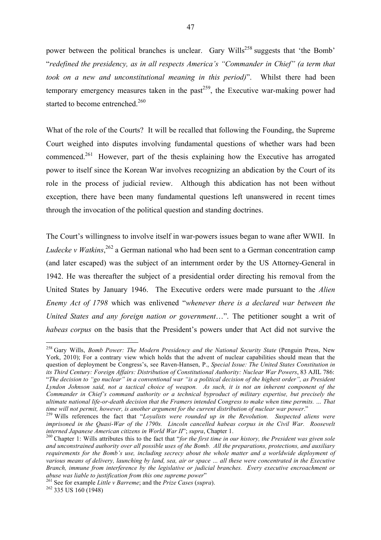power between the political branches is unclear. Gary Wills<sup>258</sup> suggests that 'the Bomb' "*redefined the presidency, as in all respects America's "Commander in Chief" (a term that took on a new and unconstitutional meaning in this period)*". Whilst there had been temporary emergency measures taken in the past<sup>259</sup>, the Executive war-making power had started to become entrenched.<sup>260</sup>

What of the role of the Courts? It will be recalled that following the Founding, the Supreme Court weighed into disputes involving fundamental questions of whether wars had been commenced.261 However, part of the thesis explaining how the Executive has arrogated power to itself since the Korean War involves recognizing an abdication by the Court of its role in the process of judicial review. Although this abdication has not been without exception, there have been many fundamental questions left unanswered in recent times through the invocation of the political question and standing doctrines.

The Court's willingness to involve itself in war-powers issues began to wane after WWII. In *Ludecke v Watkins*, <sup>262</sup> a German national who had been sent to a German concentration camp (and later escaped) was the subject of an internment order by the US Attorney-General in 1942. He was thereafter the subject of a presidential order directing his removal from the United States by January 1946. The Executive orders were made pursuant to the *Alien Enemy Act of 1798* which was enlivened "*whenever there is a declared war between the United States and any foreign nation or government*…". The petitioner sought a writ of *habeas corpus* on the basis that the President's powers under that Act did not survive the

<sup>&</sup>lt;sup>258</sup> Gary Wills, *Bomb Power: The Modern Presidency and the National Security State (Penguin Press, New* York, 2010); For a contrary view which holds that the advent of nuclear capabilities should mean that the question of deployment be Congress's, see Raven-Hansen, P., *Special Issue: The United States Constitution in its Third Century: Foreign Affairs: Distribution of Constitutional Authority: Nuclear War Powers*, 83 AJIL 786: "*The decision to "go nuclear" in a conventional war "is a political decision of the highest order", as President Lyndon Johnson said, not a tactical choice of weapon. As such, it is not an inherent component of the Commander in Chief's command authority or a technical byproduct of military expertise, but precisely the ultimate national life-or-death decision that the Framers intended Congress to make when time permits. … That* 

<sup>&</sup>lt;sup>259</sup> Wills references the fact that "*Loyalists were rounded up in the Revolution. Suspected aliens were imprisoned in the Quasi-War of the 1790s. Lincoln cancelled habeas corpus in the Civil War. Roosevelt interned Japanese American citizens in World War II'; supra, Chapter 1.* 

<sup>&</sup>lt;sup>260</sup> Chapter 1: Wills attributes this to the fact that "*for the first time in our history, the President was given sole and unconstrained authority over all possible uses of the Bomb. All the preparations, protections, and auxiliary requirements for the Bomb's use, including secrecy about the whole matter and a worldwide deployment of various means of delivery, launching by land, sea, air or space … all these were concentrated in the Executive Branch, immune from interference by the legislative or judicial branches. Every executive encroachment or* 

*abuse was liable to justification from this one supreme power*" <sup>261</sup> See for example *Little v Barreme*; and the *Prize Cases* (*supra*). <sup>262</sup> 335 US 160 (1948)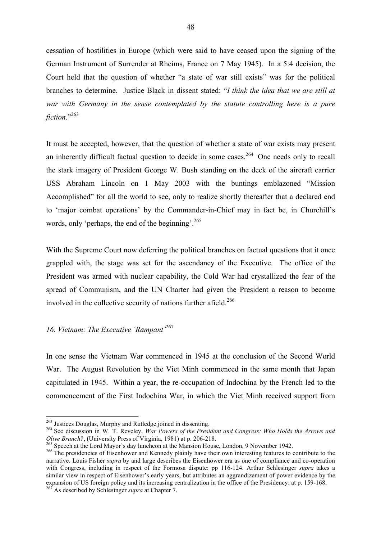cessation of hostilities in Europe (which were said to have ceased upon the signing of the German Instrument of Surrender at Rheims, France on 7 May 1945). In a 5:4 decision, the Court held that the question of whether "a state of war still exists" was for the political branches to determine. Justice Black in dissent stated: "*I think the idea that we are still at war with Germany in the sense contemplated by the statute controlling here is a pure fiction*."263

It must be accepted, however, that the question of whether a state of war exists may present an inherently difficult factual question to decide in some cases.<sup>264</sup> One needs only to recall the stark imagery of President George W. Bush standing on the deck of the aircraft carrier USS Abraham Lincoln on 1 May 2003 with the buntings emblazoned "Mission Accomplished" for all the world to see, only to realize shortly thereafter that a declared end to 'major combat operations' by the Commander-in-Chief may in fact be, in Churchill's words, only 'perhaps, the end of the beginning'.<sup>265</sup>

With the Supreme Court now deferring the political branches on factual questions that it once grappled with, the stage was set for the ascendancy of the Executive. The office of the President was armed with nuclear capability, the Cold War had crystallized the fear of the spread of Communism, and the UN Charter had given the President a reason to become involved in the collective security of nations further afield.<sup>266</sup>

# *16. Vietnam: The Executive 'Rampant'*<sup>267</sup>

In one sense the Vietnam War commenced in 1945 at the conclusion of the Second World War. The August Revolution by the Viet Minh commenced in the same month that Japan capitulated in 1945. Within a year, the re-occupation of Indochina by the French led to the commencement of the First Indochina War, in which the Viet Minh received support from

<sup>&</sup>lt;sup>263</sup> Justices Douglas, Murphy and Rutledge joined in dissenting.<br><sup>264</sup> See discussion in W. T. Reveley, *War Powers of the President and Congress: Who Holds the Arrows and Olive Branch?*, (University Press of Virginia, 19

<sup>&</sup>lt;sup>265</sup> Speech at the Lord Mayor's day luncheon at the Mansion House, London, 9 November 1942.<br><sup>266</sup> The presidencies of Eisenhower and Kennedy plainly have their own interesting features to contribute to the narrative. Louis Fisher *supra* by and large describes the Eisenhower era as one of compliance and co-operation with Congress, including in respect of the Formosa dispute: pp 116-124. Arthur Schlesinger *supra* takes a similar view in respect of Eisenhower's early years, but attributes an aggrandizement of power evidence by the expansion of US foreign policy and its increasing centralization in the office of the Presidency: at p. 159-168. <sup>267</sup> As described by Schlesinger *supra* at Chapter 7.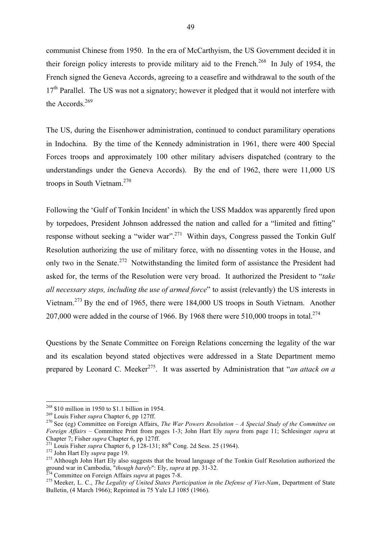communist Chinese from 1950. In the era of McCarthyism, the US Government decided it in their foreign policy interests to provide military aid to the French.<sup>268</sup> In July of 1954, the French signed the Geneva Accords, agreeing to a ceasefire and withdrawal to the south of the  $17<sup>th</sup>$  Parallel. The US was not a signatory; however it pledged that it would not interfere with the Accords.<sup>269</sup>

The US, during the Eisenhower administration, continued to conduct paramilitary operations in Indochina. By the time of the Kennedy administration in 1961, there were 400 Special Forces troops and approximately 100 other military advisers dispatched (contrary to the understandings under the Geneva Accords). By the end of 1962, there were 11,000 US troops in South Vietnam.270

Following the 'Gulf of Tonkin Incident' in which the USS Maddox was apparently fired upon by torpedoes, President Johnson addressed the nation and called for a "limited and fitting" response without seeking a "wider war".<sup>271</sup> Within days, Congress passed the Tonkin Gulf Resolution authorizing the use of military force, with no dissenting votes in the House, and only two in the Senate.<sup>272</sup> Notwithstanding the limited form of assistance the President had asked for, the terms of the Resolution were very broad. It authorized the President to "*take all necessary steps, including the use of armed force*" to assist (relevantly) the US interests in Vietnam.<sup>273</sup> By the end of 1965, there were 184,000 US troops in South Vietnam. Another 207,000 were added in the course of 1966. By 1968 there were  $510,000$  troops in total.<sup>274</sup>

Questions by the Senate Committee on Foreign Relations concerning the legality of the war and its escalation beyond stated objectives were addressed in a State Department memo prepared by Leonard C. Meeker<sup>275</sup>. It was asserted by Administration that "*an attack on a* 

<sup>&</sup>lt;sup>268</sup> \$10 million in 1950 to \$1.1 billion in 1954.<br><sup>269</sup> Louis Fisher *supra* Chapter 6, pp 127ff.<br><sup>270</sup> See (eg) Committee on Foreign Affairs, *The War Powers Resolution – A Special Study of the Committee on Foreign Affairs* – Committee Print from pages 1-3; John Hart Ely *supra* from page 11; Schlesinger *supra* at

<sup>&</sup>lt;sup>271</sup> Louis Fisher *supra* Chapter 6, p 128-131; 88<sup>th</sup> Cong. 2d Sess. 25 (1964).<br><sup>272</sup> John Hart Ely *supra* page 19.<br><sup>273</sup> Although John Hart Ely also suggests that the broad language of the Tonkin Gulf Resolution autho

 $^{274}$  Committee on Foreign Affairs *supra* at pages 7-8.<br><sup>275</sup> Meeker, L. C., *The Legality of United States Participation in the Defense of Viet-Nam*, Department of State Bulletin, (4 March 1966); Reprinted in 75 Yale LJ 1085 (1966).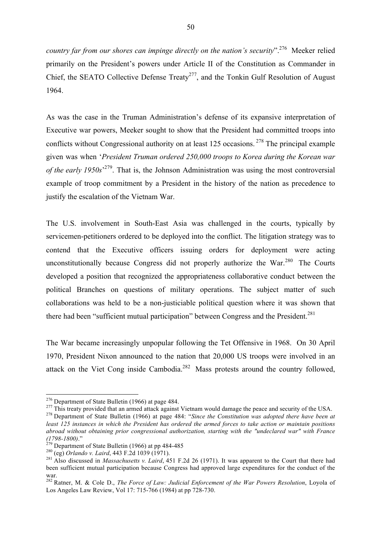*country far from our shores can impinge directly on the nation's security*".276 Meeker relied primarily on the President's powers under Article II of the Constitution as Commander in Chief, the SEATO Collective Defense Treaty<sup>277</sup>, and the Tonkin Gulf Resolution of August 1964.

As was the case in the Truman Administration's defense of its expansive interpretation of Executive war powers, Meeker sought to show that the President had committed troops into conflicts without Congressional authority on at least 125 occasions.<sup>278</sup> The principal example given was when '*President Truman ordered 250,000 troops to Korea during the Korean war of the early 1950s*' 279. That is, the Johnson Administration was using the most controversial example of troop commitment by a President in the history of the nation as precedence to justify the escalation of the Vietnam War.

The U.S. involvement in South-East Asia was challenged in the courts, typically by servicemen-petitioners ordered to be deployed into the conflict. The litigation strategy was to contend that the Executive officers issuing orders for deployment were acting unconstitutionally because Congress did not properly authorize the War. $^{280}$  The Courts developed a position that recognized the appropriateness collaborative conduct between the political Branches on questions of military operations. The subject matter of such collaborations was held to be a non-justiciable political question where it was shown that there had been "sufficient mutual participation" between Congress and the President.<sup>281</sup>

The War became increasingly unpopular following the Tet Offensive in 1968. On 30 April 1970, President Nixon announced to the nation that 20,000 US troops were involved in an attack on the Viet Cong inside Cambodia.282 Mass protests around the country followed,

<sup>&</sup>lt;sup>276</sup> Department of State Bulletin (1966) at page 484.<br><sup>277</sup> This treaty provided that an armed attack against Vietnam would damage the peace and security of the USA.<br><sup>278</sup> Department of State Bulletin (1966) at page 484:

*least 125 instances in which the President has ordered the armed forces to take action or maintain positions abroad without obtaining prior congressional authorization, starting with the "undeclared war" with France* 

<sup>&</sup>lt;sup>279</sup> Department of State Bulletin (1966) at pp 484-485<br><sup>280</sup> (eg) *Orlando v. Laird*, 443 F.2d 1039 (1971).<br><sup>281</sup> Also discussed in *Massachusetts v. Laird*, 451 F.2d 26 (1971). It was apparent to the Court that there ha been sufficient mutual participation because Congress had approved large expenditures for the conduct of the war.

<sup>282</sup> Ratner, M. & Cole D., *The Force of Law: Judicial Enforcement of the War Powers Resolution*, Loyola of Los Angeles Law Review, Vol 17: 715-766 (1984) at pp 728-730.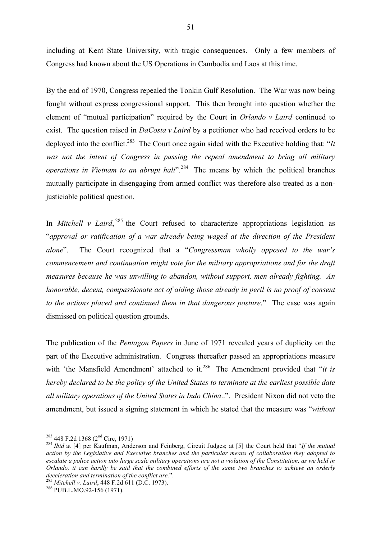including at Kent State University, with tragic consequences. Only a few members of Congress had known about the US Operations in Cambodia and Laos at this time.

By the end of 1970, Congress repealed the Tonkin Gulf Resolution. The War was now being fought without express congressional support. This then brought into question whether the element of "mutual participation" required by the Court in *Orlando v Laird* continued to exist. The question raised in *DaCosta v Laird* by a petitioner who had received orders to be deployed into the conflict.<sup>283</sup> The Court once again sided with the Executive holding that: "*It* was not the intent of Congress in passing the repeal amendment to bring all military *operations in Vietnam to an abrupt halt*<sup>" 284</sup> The means by which the political branches mutually participate in disengaging from armed conflict was therefore also treated as a nonjusticiable political question.

In *Mitchell v Laird*,<sup>285</sup> the Court refused to characterize appropriations legislation as "*approval or ratification of a war already being waged at the direction of the President alone*". The Court recognized that a "*Congressman wholly opposed to the war's commencement and continuation might vote for the military appropriations and for the draft measures because he was unwilling to abandon, without support, men already fighting. An honorable, decent, compassionate act of aiding those already in peril is no proof of consent to the actions placed and continued them in that dangerous posture*." The case was again dismissed on political question grounds.

The publication of the *Pentagon Papers* in June of 1971 revealed years of duplicity on the part of the Executive administration. Congress thereafter passed an appropriations measure with 'the Mansfield Amendment' attached to it.<sup>286</sup> The Amendment provided that "*it is hereby declared to be the policy of the United States to terminate at the earliest possible date all military operations of the United States in Indo China*..". President Nixon did not veto the amendment, but issued a signing statement in which he stated that the measure was "*without* 

<sup>&</sup>lt;sup>283</sup> 448 F.2d 1368 (2<sup>nd</sup> Circ, 1971)<br><sup>284</sup> *Ibid* at [4] per Kaufman, Anderson and Feinberg, Circuit Judges; at [5] the Court held that "*If the mutual action by the Legislative and Executive branches and the particular means of collaboration they adopted to escalate a police action into large scale military operations are not a violation of the Constitution, as we held in Orlando, it can hardly be said that the combined efforts of the same two branches to achieve an orderly deceleration and termination of the conflict are.*". <sup>285</sup> *Mitchell v. Laird*, 448 F.2d 611 (D.C. 1973). <sup>286</sup> PUB.L.MO.92-156 (1971).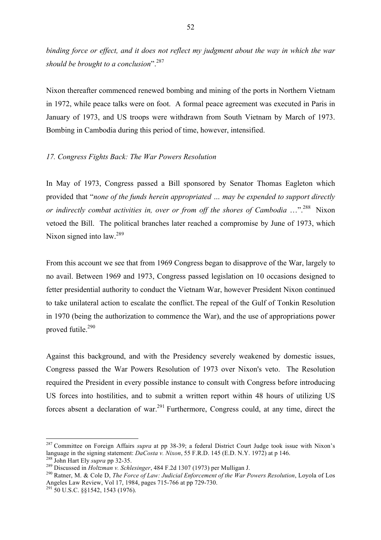*binding force or effect, and it does not reflect my judgment about the way in which the war should be brought to a conclusion*".<sup>287</sup>

Nixon thereafter commenced renewed bombing and mining of the ports in Northern Vietnam in 1972, while peace talks were on foot. A formal peace agreement was executed in Paris in January of 1973, and US troops were withdrawn from South Vietnam by March of 1973. Bombing in Cambodia during this period of time, however, intensified.

#### *17. Congress Fights Back: The War Powers Resolution*

In May of 1973, Congress passed a Bill sponsored by Senator Thomas Eagleton which provided that "*none of the funds herein appropriated … may be expended to support directly or indirectly combat activities in, over or from off the shores of Cambodia* ...".<sup>288</sup> Nixon vetoed the Bill. The political branches later reached a compromise by June of 1973, which Nixon signed into law.<sup>289</sup>

From this account we see that from 1969 Congress began to disapprove of the War, largely to no avail. Between 1969 and 1973, Congress passed legislation on 10 occasions designed to fetter presidential authority to conduct the Vietnam War, however President Nixon continued to take unilateral action to escalate the conflict. The repeal of the Gulf of Tonkin Resolution in 1970 (being the authorization to commence the War), and the use of appropriations power proved futile.<sup>290</sup>

Against this background, and with the Presidency severely weakened by domestic issues, Congress passed the War Powers Resolution of 1973 over Nixon's veto. The Resolution required the President in every possible instance to consult with Congress before introducing US forces into hostilities, and to submit a written report within 48 hours of utilizing US forces absent a declaration of war.<sup>291</sup> Furthermore, Congress could, at any time, direct the

<sup>&</sup>lt;sup>287</sup> Committee on Foreign Affairs *supra* at pp 38-39; a federal District Court Judge took issue with Nixon's language in the signing statement: *DaCosta v. Nixon*, 55 F.R.D. 145 (E.D. N.Y. 1972) at p 146.

<sup>&</sup>lt;sup>288</sup> John Hart Ely *supra* pp 32-35.<br><sup>289</sup> Discussed in *Holtzman v. Schlesinger*, 484 F.2d 1307 (1973) per Mulligan J.<br><sup>290</sup> Ratner, M. & Cole D, *The Force of Law: Judicial Enforcement of the War Powers Resolution*, Lo Angeles Law Review, Vol 17, 1984, pages 715-766 at pp 729-730. <sup>291</sup> 50 U.S.C. §§1542, 1543 (1976).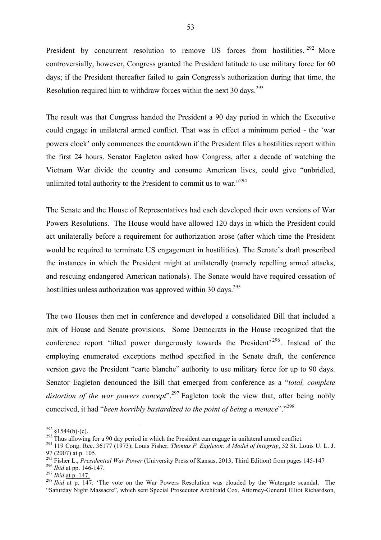President by concurrent resolution to remove US forces from hostilities.<sup>292</sup> More controversially, however, Congress granted the President latitude to use military force for 60 days; if the President thereafter failed to gain Congress's authorization during that time, the Resolution required him to withdraw forces within the next 30 days.<sup>293</sup>

The result was that Congress handed the President a 90 day period in which the Executive could engage in unilateral armed conflict. That was in effect a minimum period - the 'war powers clock' only commences the countdown if the President files a hostilities report within the first 24 hours. Senator Eagleton asked how Congress, after a decade of watching the Vietnam War divide the country and consume American lives, could give "unbridled, unlimited total authority to the President to commit us to war."<sup>294</sup>

The Senate and the House of Representatives had each developed their own versions of War Powers Resolutions. The House would have allowed 120 days in which the President could act unilaterally before a requirement for authorization arose (after which time the President would be required to terminate US engagement in hostilities). The Senate's draft proscribed the instances in which the President might at unilaterally (namely repelling armed attacks, and rescuing endangered American nationals). The Senate would have required cessation of hostilities unless authorization was approved within 30 days.<sup>295</sup>

The two Houses then met in conference and developed a consolidated Bill that included a mix of House and Senate provisions. Some Democrats in the House recognized that the conference report 'tilted power dangerously towards the President'  $296$ . Instead of the employing enumerated exceptions method specified in the Senate draft, the conference version gave the President "carte blanche" authority to use military force for up to 90 days. Senator Eagleton denounced the Bill that emerged from conference as a "*total, complete*  distortion of the war powers concept<sup>". 297</sup> Eagleton took the view that, after being nobly conceived, it had "*been horribly bastardized to the point of being a menace*"."<sup>298</sup>

<sup>&</sup>lt;sup>292</sup> §1544(b)-(c).<br><sup>293</sup> Thus allowing for a 90 day period in which the President can engage in unilateral armed conflict.<br><sup>294</sup> 119 Cong. Rec. 36177 (1973); Louis Fisher, *Thomas F. Eagleton: A Model of Integrity*, 52 S 97 (2007) at p. 105.<br><sup>295</sup> Fisher L., *Presidential War Power* (University Press of Kansas, 2013, Third Edition) from pages 145-147

<sup>&</sup>lt;sup>296</sup> *Ibid* at pp. 146-147.<br><sup>297</sup> *Ibid* at p. 147.<br><sup>298</sup> *Ibid* at p. 147. 'The vote on the War Powers Resolution was clouded by the Watergate scandal. The "Saturday Night Massacre", which sent Special Prosecutor Archibald Cox, Attorney-General Elliot Richardson,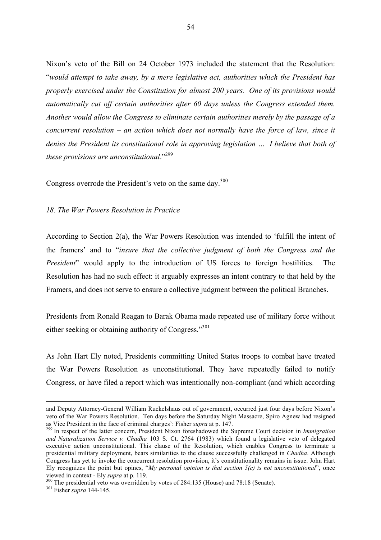Nixon's veto of the Bill on 24 October 1973 included the statement that the Resolution: "*would attempt to take away, by a mere legislative act, authorities which the President has properly exercised under the Constitution for almost 200 years. One of its provisions would automatically cut off certain authorities after 60 days unless the Congress extended them. Another would allow the Congress to eliminate certain authorities merely by the passage of a concurrent resolution – an action which does not normally have the force of law, since it denies the President its constitutional role in approving legislation … I believe that both of these provisions are unconstitutional*."<sup>299</sup>

Congress overrode the President's veto on the same day.<sup>300</sup>

#### *18. The War Powers Resolution in Practice*

According to Section 2(a), the War Powers Resolution was intended to 'fulfill the intent of the framers' and to "*insure that the collective judgment of both the Congress and the President*" would apply to the introduction of US forces to foreign hostilities. The Resolution has had no such effect: it arguably expresses an intent contrary to that held by the Framers, and does not serve to ensure a collective judgment between the political Branches.

Presidents from Ronald Reagan to Barak Obama made repeated use of military force without either seeking or obtaining authority of Congress."<sup>301</sup>

As John Hart Ely noted, Presidents committing United States troops to combat have treated the War Powers Resolution as unconstitutional. They have repeatedly failed to notify Congress, or have filed a report which was intentionally non-compliant (and which according

 $\overline{a}$ 

and Deputy Attorney-General William Ruckelshaus out of government, occurred just four days before Nixon's veto of the War Powers Resolution. Ten days before the Saturday Night Massacre, Spiro Agnew had resigned as Vice President in the face of criminal charges': Fisher *supra* at p. 147. <sup>299</sup> In respect of the latter concern, President Nixon foreshadowed the Supreme Court decision in *Immigration* 

*and Naturalization Service v. Chadha* 103 S. Ct. 2764 (1983) which found a legislative veto of delegated executive action unconstitutional. This clause of the Resolution, which enables Congress to terminate a presidential military deployment, bears similarities to the clause successfully challenged in *Chadha*. Although Congress has yet to invoke the concurrent resolution provision, it's constitutionality remains in issue. John Hart Ely recognizes the point but opines, "*My personal opinion is that section 5(c) is not unconstitutional*", once viewed in context - Ely *supra* at p. 119. <sup>300</sup> The presidential veto was overridden by votes of 284:135 (House) and 78:18 (Senate). <sup>301</sup> Fisher *supra* 144-145.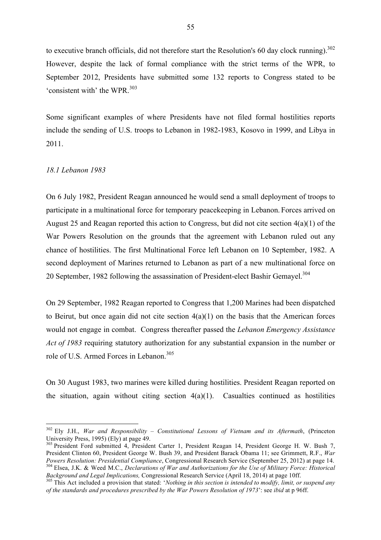to executive branch officials, did not therefore start the Resolution's 60 day clock running).<sup>302</sup> However, despite the lack of formal compliance with the strict terms of the WPR, to September 2012, Presidents have submitted some 132 reports to Congress stated to be 'consistent with' the WPR.<sup>303</sup>

Some significant examples of where Presidents have not filed formal hostilities reports include the sending of U.S. troops to Lebanon in 1982-1983, Kosovo in 1999, and Libya in 2011.

#### *18.1 Lebanon 1983*

On 6 July 1982, President Reagan announced he would send a small deployment of troops to participate in a multinational force for temporary peacekeeping in Lebanon. Forces arrived on August 25 and Reagan reported this action to Congress, but did not cite section 4(a)(1) of the War Powers Resolution on the grounds that the agreement with Lebanon ruled out any chance of hostilities. The first Multinational Force left Lebanon on 10 September, 1982. A second deployment of Marines returned to Lebanon as part of a new multinational force on 20 September, 1982 following the assassination of President-elect Bashir Gemayel.<sup>304</sup>

On 29 September, 1982 Reagan reported to Congress that 1,200 Marines had been dispatched to Beirut, but once again did not cite section  $4(a)(1)$  on the basis that the American forces would not engage in combat. Congress thereafter passed the *Lebanon Emergency Assistance Act of 1983* requiring statutory authorization for any substantial expansion in the number or role of U.S. Armed Forces in Lebanon.<sup>305</sup>

On 30 August 1983, two marines were killed during hostilities. President Reagan reported on the situation, again without citing section  $4(a)(1)$ . Casualties continued as hostilities

 <sup>302</sup> Ely J.H., *War and Responsibility – Constitutional Lessons of Vietnam and its Aftermath*, (Princeton University Press, 1995) (Ely) at page 49.

<sup>&</sup>lt;sup>303</sup> President Ford submitted 4, President Carter 1, President Reagan 14, President George H. W. Bush 7, President Clinton 60, President George W. Bush 39, and President Barack Obama 11; see Grimmett, R.F., *War* 

 $^{304}$  Elsea, J.K. & Weed M.C., Declarations of War and Authorizations for the Use of Military Force: Historical Background and Legal Implications, Congressional Research Service (April 18, 2014) at page 10ff.

<sup>&</sup>lt;sup>305</sup> This Act included a provision that stated: 'Nothing in this section is intended to modify, limit, or suspend any *of the standards and procedures prescribed by the War Powers Resolution of 1973*': see *ibid* at p 96ff.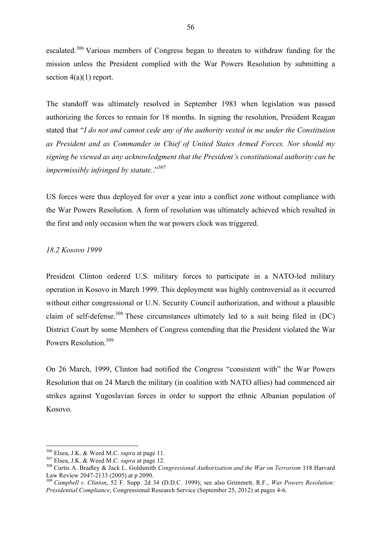escalated.<sup>306</sup> Various members of Congress began to threaten to withdraw funding for the mission unless the President complied with the War Powers Resolution by submitting a section  $4(a)(1)$  report.

The standoff was ultimately resolved in September 1983 when legislation was passed authorizing the forces to remain for 18 months. In signing the resolution, President Reagan stated that "*I do not and cannot cede any of the authority vested in me under the Constitution as President and as Commander in Chief of United States Armed Forces. Nor should my signing be viewed as any acknowledgment that the President's constitutional authority can be impermissibly infringed by statute.*."307

US forces were thus deployed for over a year into a conflict zone without compliance with the War Powers Resolution. A form of resolution was ultimately achieved which resulted in the first and only occasion when the war powers clock was triggered.

# *18.2 Kosovo 1999*

President Clinton ordered U.S. military forces to participate in a NATO-led military operation in Kosovo in March 1999. This deployment was highly controversial as it occurred without either congressional or U.N. Security Council authorization, and without a plausible claim of self-defense.<sup>308</sup> These circumstances ultimately led to a suit being filed in  $(DC)$ District Court by some Members of Congress contending that the President violated the War Powers Resolution<sup>309</sup>

On 26 March, 1999, Clinton had notified the Congress "consistent with" the War Powers Resolution that on 24 March the military (in coalition with NATO allies) had commenced air strikes against Yugoslavian forces in order to support the ethnic Albanian population of Kosovo.

<sup>&</sup>lt;sup>306</sup> Elsea, J.K. & Weed M.C. *supra* at page 11.<br><sup>307</sup> Elsea, J.K. & Weed M.C. *supra* at page 12.<br><sup>308</sup> Curtis A. Bradley & Jack L. Goldsmith *Congressional Authorization and the War on Terrorism* 118 Harvard<br>Law Review

<sup>&</sup>lt;sup>309</sup> Campbell v. Clinton, 52 F. Supp. 2d 34 (D.D.C. 1999); see also Grimmett, R.F., *War Powers Resolution: Presidential Compliance*, Congressional Research Service (September 25, 2012) at pages 4-6.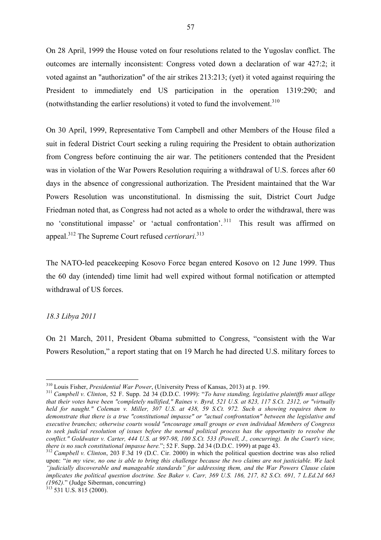On 28 April, 1999 the House voted on four resolutions related to the Yugoslav conflict. The outcomes are internally inconsistent: Congress voted down a declaration of war 427:2; it voted against an "authorization" of the air strikes 213:213; (yet) it voted against requiring the President to immediately end US participation in the operation 1319:290; and (notwithstanding the earlier resolutions) it voted to fund the involvement.<sup>310</sup>

On 30 April, 1999, Representative Tom Campbell and other Members of the House filed a suit in federal District Court seeking a ruling requiring the President to obtain authorization from Congress before continuing the air war. The petitioners contended that the President was in violation of the War Powers Resolution requiring a withdrawal of U.S. forces after 60 days in the absence of congressional authorization. The President maintained that the War Powers Resolution was unconstitutional. In dismissing the suit, District Court Judge Friedman noted that, as Congress had not acted as a whole to order the withdrawal, there was no 'constitutional impasse' or 'actual confrontation'. 311 This result was affirmed on appeal.<sup>312</sup> The Supreme Court refused *certiorari*. 313

The NATO-led peacekeeping Kosovo Force began entered Kosovo on 12 June 1999. Thus the 60 day (intended) time limit had well expired without formal notification or attempted withdrawal of US forces.

#### *18.3 Libya 2011*

On 21 March, 2011, President Obama submitted to Congress, "consistent with the War Powers Resolution," a report stating that on 19 March he had directed U.S. military forces to

<sup>310</sup> Louis Fisher, *Presidential War Power*, (University Press of Kansas, 2013) at p. 199. 311 *Campbell v. Clinton*, 52 F. Supp. 2d 34 (D.D.C. 1999): "*To have standing, legislative plaintiffs must allege that their votes have been "completely nullified," Raines v. Byrd, 521 U.S. at 823, 117 S.Ct. 2312, or "virtually held for naught." Coleman v. Miller, 307 U.S. at 438, 59 S.Ct. 972. Such a showing requires them to demonstrate that there is a true "constitutional impasse" or "actual confrontation" between the legislative and executive branches; otherwise courts would "encourage small groups or even individual Members of Congress to seek judicial resolution of issues before the normal political process has the opportunity to resolve the conflict." Goldwater v. Carter, 444 U.S. at 997-98, 100 S.Ct. 533 (Powell, J., concurring). In the Court's view, there is no such constitutional impasse here."; 52 F. Supp. 2d 34 (D.D.C. 1999) at page 43.* 

 $t_0$ <sup>312</sup> *Campbell v. Clinton,* 203 F.3d 19 (D.C. Cir. 2000) in which the political question doctrine was also relied upon: "*in my view, no one is able to bring this challenge because the two claims are not justiciable. We lack "judicially discoverable and manageable standards" for addressing them, and the War Powers Clause claim implicates the political question doctrine. See Baker v. Carr, 369 U.S. 186, 217, 82 S.Ct. 691, 7 L.Ed.2d 663 (1962).*" (Judge Siberman, concurring) <sup>313</sup> 531 U.S. 815 (2000).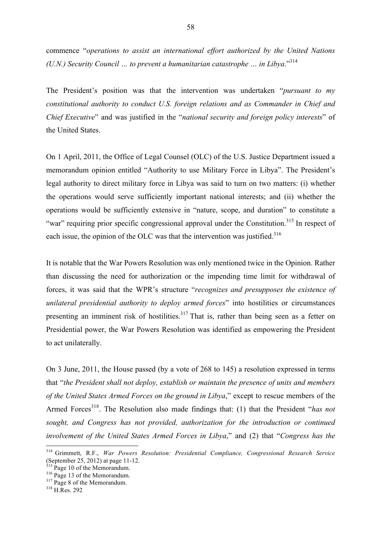commence "*operations to assist an international effort authorized by the United Nations (U.N.) Security Council … to prevent a humanitarian catastrophe … in Libya*."<sup>314</sup>

The President's position was that the intervention was undertaken "*pursuant to my constitutional authority to conduct U.S. foreign relations and as Commander in Chief and Chief Executive*" and was justified in the "*national security and foreign policy interests*" of the United States.

On 1 April, 2011, the Office of Legal Counsel (OLC) of the U.S. Justice Department issued a memorandum opinion entitled "Authority to use Military Force in Libya". The President's legal authority to direct military force in Libya was said to turn on two matters: (i) whether the operations would serve sufficiently important national interests; and (ii) whether the operations would be sufficiently extensive in "nature, scope, and duration" to constitute a "war" requiring prior specific congressional approval under the Constitution.<sup>315</sup> In respect of each issue, the opinion of the OLC was that the intervention was justified.<sup>316</sup>

It is notable that the War Powers Resolution was only mentioned twice in the Opinion. Rather than discussing the need for authorization or the impending time limit for withdrawal of forces, it was said that the WPR's structure "*recognizes and presupposes the existence of unilateral presidential authority to deploy armed forces*" into hostilities or circumstances presenting an imminent risk of hostilities.<sup>317</sup> That is, rather than being seen as a fetter on Presidential power, the War Powers Resolution was identified as empowering the President to act unilaterally.

On 3 June, 2011, the House passed (by a vote of 268 to 145) a resolution expressed in terms that "*the President shall not deploy, establish or maintain the presence of units and members of the United States Armed Forces on the ground in Libya*," except to rescue members of the Armed Forces<sup>318</sup>. The Resolution also made findings that: (1) that the President "*has not sought, and Congress has not provided, authorization for the introduction or continued involvement of the United States Armed Forces in Libya*," and (2) that "*Congress has the* 

 <sup>314</sup> Grimmett, R.F., *War Powers Resolution: Presidential Compliance, Congressional Research Service* (September 25, 2012) at page 11-12.<br><sup>315</sup> Page 10 of the Memorandum.<br><sup>316</sup> Page 13 of the Memorandum.<br><sup>317</sup> Page 8 of the Memorandum.<br><sup>318</sup> H.Res. 292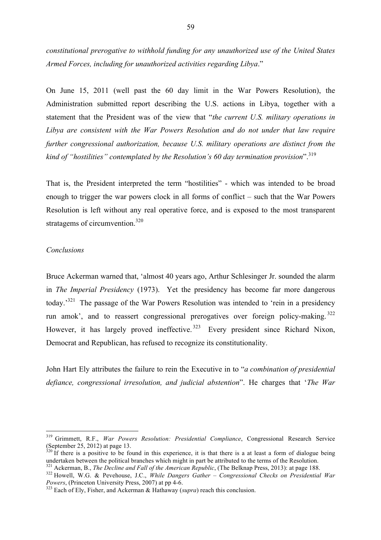*constitutional prerogative to withhold funding for any unauthorized use of the United States Armed Forces, including for unauthorized activities regarding Libya*."

On June 15, 2011 (well past the 60 day limit in the War Powers Resolution), the Administration submitted report describing the U.S. actions in Libya, together with a statement that the President was of the view that "*the current U.S. military operations in Libya are consistent with the War Powers Resolution and do not under that law require further congressional authorization, because U.S. military operations are distinct from the kind of "hostilities" contemplated by the Resolution's 60 day termination provision*".<sup>319</sup>

That is, the President interpreted the term "hostilities" - which was intended to be broad enough to trigger the war powers clock in all forms of conflict – such that the War Powers Resolution is left without any real operative force, and is exposed to the most transparent stratagems of circumvention.<sup>320</sup>

## *Conclusions*

Bruce Ackerman warned that, 'almost 40 years ago, Arthur Schlesinger Jr. sounded the alarm in *The Imperial Presidency* (1973). Yet the presidency has become far more dangerous today.'321 The passage of the War Powers Resolution was intended to 'rein in a presidency run amok', and to reassert congressional prerogatives over foreign policy-making. <sup>322</sup> However, it has largely proved ineffective.<sup>323</sup> Every president since Richard Nixon, Democrat and Republican, has refused to recognize its constitutionality.

John Hart Ely attributes the failure to rein the Executive in to "*a combination of presidential defiance, congressional irresolution, and judicial abstention*". He charges that '*The War* 

 <sup>319</sup> Grimmett, R.F., *War Powers Resolution: Presidential Compliance*, Congressional Research Service (September 25, 2012) at page 13.

 $320$  If there is a positive to be found in this experience, it is that there is a at least a form of dialogue being undertaken between the political branches which might in part be attributed to the terms of the Resoluti

<sup>&</sup>lt;sup>321</sup> Ackerman, B., *The Decline and Fall of the American Republic*, (The Belknap Press, 2013): at page 188.<br><sup>322</sup> Howell, W.G. & Pevehouse, J.C., *While Dangers Gather – Congressional Checks on Presidential War Powers*,

<sup>&</sup>lt;sup>323</sup> Each of Ely, Fisher, and Ackerman & Hathaway (*supra*) reach this conclusion.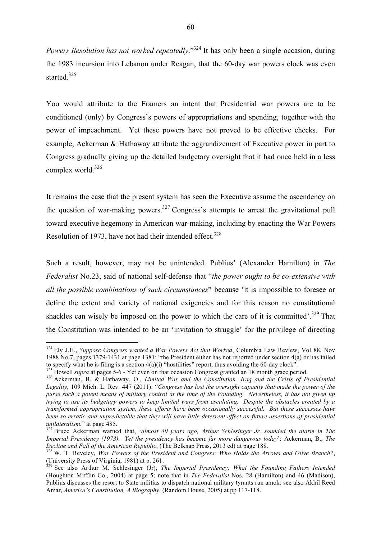*Powers Resolution has not worked repeatedly.*"<sup>324</sup> It has only been a single occasion, during the 1983 incursion into Lebanon under Reagan, that the 60-day war powers clock was even started.<sup>325</sup>

Yoo would attribute to the Framers an intent that Presidential war powers are to be conditioned (only) by Congress's powers of appropriations and spending, together with the power of impeachment. Yet these powers have not proved to be effective checks. For example, Ackerman & Hathaway attribute the aggrandizement of Executive power in part to Congress gradually giving up the detailed budgetary oversight that it had once held in a less complex world.<sup>326</sup>

It remains the case that the present system has seen the Executive assume the ascendency on the question of war-making powers.<sup>327</sup> Congress's attempts to arrest the gravitational pull toward executive hegemony in American war-making, including by enacting the War Powers Resolution of 1973, have not had their intended effect. $328$ 

Such a result, however, may not be unintended. Publius' (Alexander Hamilton) in *The Federalist* No.23, said of national self-defense that "*the power ought to be co-extensive with all the possible combinations of such circumstances*" because 'it is impossible to foresee or define the extent and variety of national exigencies and for this reason no constitutional shackles can wisely be imposed on the power to which the care of it is committed'.<sup>329</sup> That the Constitution was intended to be an 'invitation to struggle' for the privilege of directing

 <sup>324</sup> Ely J.H., *Suppose Congress wanted a War Powers Act that Worked*, Columbia Law Review, Vol 88, Nov 1988 No.7, pages 1379-1431 at page 1381: "the President either has not reported under section 4(a) or has failed to specify what he is filing is a section  $4(a)(i)$  "hostilities" report, thus avoiding the 60-day clock".<br><sup>325</sup> Howell *supra* at pages 5-6 - Yet even on that occasion Congress granted an 18 month grace period.<br><sup>326</sup> Acker

*Legality*, 109 Mich. L. Rev. 447 (2011): "*Congress has lost the oversight capacity that made the power of the purse such a potent means of military control at the time of the Founding. Nevertheless, it has not given up trying to use its budgetary powers to keep limited wars from escalating. Despite the obstacles created by a transformed appropriation system, these efforts have been occasionally successful. But these successes have been so erratic and unpredictable that they will have little deterrent effect on future assertions of presidential unilateralism.*" at page 485.<br><sup>327</sup> Bruce Ackerman warned that, *'almost 40 years ago, Arthur Schlesinger Jr. sounded the alarm in The* 

*Imperial Presidency (1973). Yet the presidency has become far more dangerous today*': Ackerman, B., *The* 

<sup>&</sup>lt;sup>328</sup> W. T. Reveley, *War Powers of the President and Congress: Who Holds the Arrows and Olive Branch?*, (University Press of Virginia, 1981) at p. 261.

<sup>329</sup> See also Arthur M. Schlesinger (Jr), *The Imperial Presidency: What the Founding Fathers Intended* (Houghton Mifflin Co., 2004) at page 5; note that in *The Federalist* Nos. 28 (Hamilton) and 46 (Madison), Publius discusses the resort to State militias to dispatch national military tyrants run amok; see also Akhil Reed Amar, *America's Constitution, A Biography*, (Random House, 2005) at pp 117-118.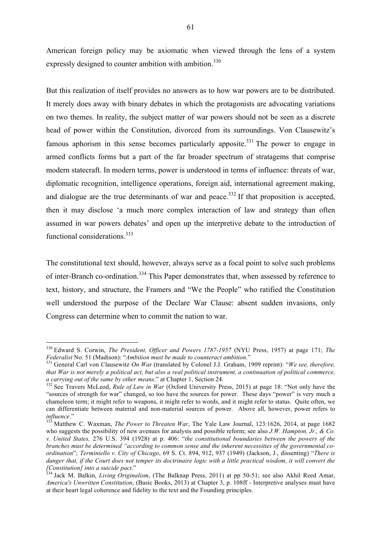American foreign policy may be axiomatic when viewed through the lens of a system expressly designed to counter ambition with ambition.<sup>330</sup>

But this realization of itself provides no answers as to how war powers are to be distributed. It merely does away with binary debates in which the protagonists are advocating variations on two themes. In reality, the subject matter of war powers should not be seen as a discrete head of power within the Constitution, divorced from its surroundings. Von Clausewitz's famous aphorism in this sense becomes particularly apposite.<sup>331</sup> The power to engage in armed conflicts forms but a part of the far broader spectrum of stratagems that comprise modern statecraft. In modern terms, power is understood in terms of influence: threats of war, diplomatic recognition, intelligence operations, foreign aid, international agreement making, and dialogue are the true determinants of war and peace.<sup>332</sup> If that proposition is accepted, then it may disclose 'a much more complex interaction of law and strategy than often assumed in war powers debates' and open up the interpretive debate to the introduction of functional considerations.<sup>333</sup>

The constitutional text should, however, always serve as a focal point to solve such problems of inter-Branch co-ordination.<sup>334</sup> This Paper demonstrates that, when assessed by reference to text, history, and structure, the Framers and "We the People" who ratified the Constitution well understood the purpose of the Declare War Clause: absent sudden invasions, only Congress can determine when to commit the nation to war.

 <sup>330</sup> Edward S. Corwin, *The President, Officer and Powers 1787-1957* (NYU Press, 1957) at page 171; *The Federalist* No. 51 (Madison): "*Ambition must be made to counteract ambition*." <sup>331</sup> General Carl von Clausewitz *On War* (translated by Colonel J.J. Graham, 1909 reprint): "*We see, therefore,* 

*that War is not merely a political act, but also a real political instrument, a continuation of political commerce, a carrying out of the same by other means*." at Chapter 1, Section 24. <sup>332</sup> See Travers McLeod, *Rule of Law in War* (Oxford University Press, 2015) at page 18: "Not only have the

<sup>&</sup>quot;sources of strength for war" changed, so too have the sources for power. These days "power" is very much a chameleon term; it might refer to weapons, it might refer to words, and it might refer to status. Quite often, we can differentiate between material and non-material sources of power. Above all, however, power refers to influence."

<sup>&</sup>lt;sup>333</sup> Matthew C. Waxman, *The Power to Threaten War*, The Yale Law Journal, 123:1626, 2014, at page 1682 who suggests the possibility of new avenues for analysis and possible reform; see also *J.W. Hampton, Jr., & Co. v. United States,* 276 U.S. 394 (1928) at p. 406: "*the constitutional boundaries between the powers of the branches must be determined "according to common sense and the inherent necessities of the governmental coordination*"; *Terminiello v. City of Chicago*, 69 S. Ct. 894, 912, 937 (1949) (Jackson, J., dissenting) "*There is*  danger that, if the Court does not temper its doctrinaire logic with a little practical wisdom, it will convert the *[Constitution] into a suicide pact*." <sup>334</sup> Jack M. Balkin, *Living Originalism*, (The Balknap Press, 2011) at pp 50-51; see also Akhil Reed Amar,

*America's Unwritten Constitution*, (Basic Books, 2013) at Chapter 3, p. 108ff - Interpretive analyses must have at their heart legal coherence and fidelity to the text and the Founding principles.